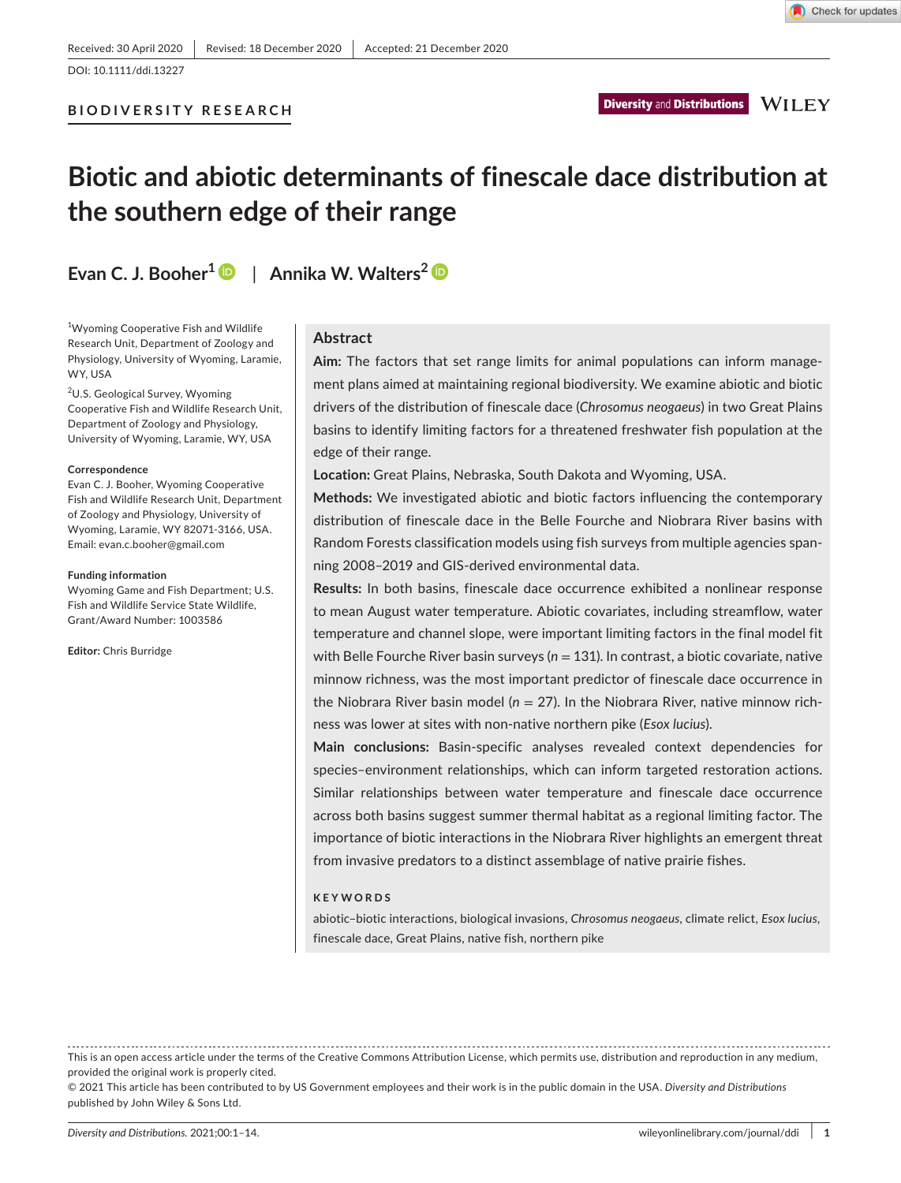DOI: 10.1111/ddi.13227

# **BIODIVERSITY RESEARCH**

# **Biotic and abiotic determinants of finescale dace distribution at the southern edge of their range**

**Evan C. J. Booher[1](https://orcid.org/0000-0003-4353-9113)** | **Annika W. Walters[2](https://orcid.org/0000-0002-8638-6682)**

<sup>1</sup>Wyoming Cooperative Fish and Wildlife Research Unit, Department of Zoology and Physiology, University of Wyoming, Laramie, WY, USA

<sup>2</sup>U.S. Geological Survey, Wyoming Cooperative Fish and Wildlife Research Unit, Department of Zoology and Physiology, University of Wyoming, Laramie, WY, USA

#### **Correspondence**

Evan C. J. Booher, Wyoming Cooperative Fish and Wildlife Research Unit, Department of Zoology and Physiology, University of Wyoming, Laramie, WY 82071-3166, USA. Email: [evan.c.booher@gmail.com](mailto:evan.c.booher@gmail.com)

#### **Funding information**

Wyoming Game and Fish Department; U.S. Fish and Wildlife Service State Wildlife, Grant/Award Number: 1003586

**Editor:** Chris Burridge

# **Abstract**

**Aim:** The factors that set range limits for animal populations can inform management plans aimed at maintaining regional biodiversity. We examine abiotic and biotic drivers of the distribution of finescale dace (*Chrosomus neogaeus*) in two Great Plains basins to identify limiting factors for a threatened freshwater fish population at the edge of their range.

**Location:** Great Plains, Nebraska, South Dakota and Wyoming, USA.

**Methods:** We investigated abiotic and biotic factors influencing the contemporary distribution of finescale dace in the Belle Fourche and Niobrara River basins with Random Forests classification models using fish surveys from multiple agencies spanning 2008–2019 and GIS-derived environmental data.

**Results:** In both basins, finescale dace occurrence exhibited a nonlinear response to mean August water temperature. Abiotic covariates, including streamflow, water temperature and channel slope, were important limiting factors in the final model fit with Belle Fourche River basin surveys (*n* = 131). In contrast, a biotic covariate, native minnow richness, was the most important predictor of finescale dace occurrence in the Niobrara River basin model (*n* = 27). In the Niobrara River, native minnow richness was lower at sites with non-native northern pike (*Esox lucius*).

**Main conclusions:** Basin-specific analyses revealed context dependencies for species–environment relationships, which can inform targeted restoration actions. Similar relationships between water temperature and finescale dace occurrence across both basins suggest summer thermal habitat as a regional limiting factor. The importance of biotic interactions in the Niobrara River highlights an emergent threat from invasive predators to a distinct assemblage of native prairie fishes.

#### **KEYWORDS**

abiotic–biotic interactions, biological invasions, *Chrosomus neogaeus*, climate relict, *Esox lucius*, finescale dace, Great Plains, native fish, northern pike

This is an open access article under the terms of the [Creative Commons Attribution](http://creativecommons.org/licenses/by/4.0/) License, which permits use, distribution and reproduction in any medium, provided the original work is properly cited.

<sup>© 2021</sup> This article has been contributed to by US Government employees and their work is in the public domain in the USA. *Diversity and Distributions* published by John Wiley & Sons Ltd.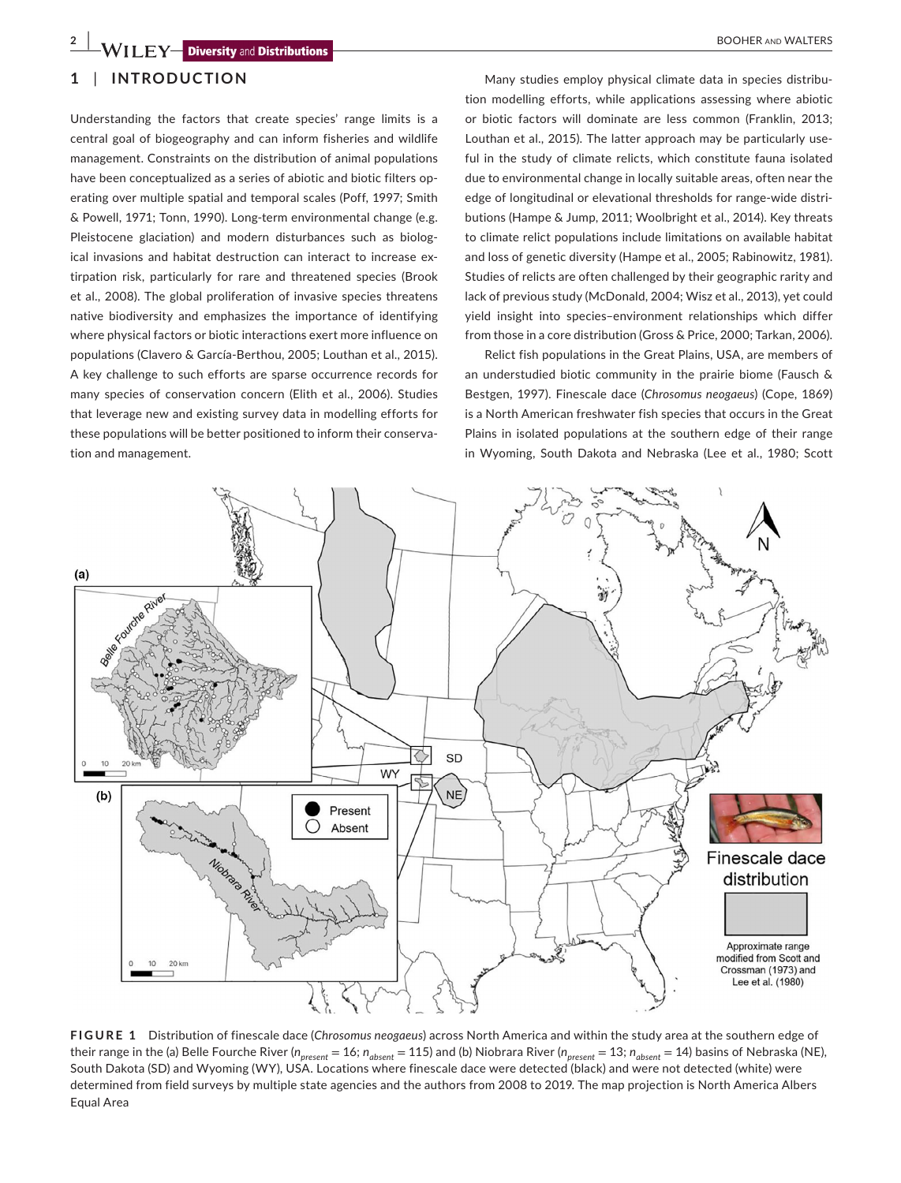# **1** | **INTRODUCTION**

Understanding the factors that create species' range limits is a central goal of biogeography and can inform fisheries and wildlife management. Constraints on the distribution of animal populations have been conceptualized as a series of abiotic and biotic filters operating over multiple spatial and temporal scales (Poff, 1997; Smith & Powell, 1971; Tonn, 1990). Long-term environmental change (e.g. Pleistocene glaciation) and modern disturbances such as biological invasions and habitat destruction can interact to increase extirpation risk, particularly for rare and threatened species (Brook et al., 2008). The global proliferation of invasive species threatens native biodiversity and emphasizes the importance of identifying where physical factors or biotic interactions exert more influence on populations (Clavero & García-Berthou, 2005; Louthan et al., 2015). A key challenge to such efforts are sparse occurrence records for many species of conservation concern (Elith et al., 2006). Studies that leverage new and existing survey data in modelling efforts for these populations will be better positioned to inform their conservation and management.

Many studies employ physical climate data in species distribution modelling efforts, while applications assessing where abiotic or biotic factors will dominate are less common (Franklin, 2013; Louthan et al., 2015). The latter approach may be particularly useful in the study of climate relicts, which constitute fauna isolated due to environmental change in locally suitable areas, often near the edge of longitudinal or elevational thresholds for range-wide distributions (Hampe & Jump, 2011; Woolbright et al., 2014). Key threats to climate relict populations include limitations on available habitat and loss of genetic diversity (Hampe et al., 2005; Rabinowitz, 1981). Studies of relicts are often challenged by their geographic rarity and lack of previous study (McDonald, 2004; Wisz et al., 2013), yet could yield insight into species–environment relationships which differ from those in a core distribution (Gross & Price, 2000; Tarkan, 2006).

Relict fish populations in the Great Plains, USA, are members of an understudied biotic community in the prairie biome (Fausch & Bestgen, 1997). Finescale dace (*Chrosomus neogaeus*) (Cope, 1869) is a North American freshwater fish species that occurs in the Great Plains in isolated populations at the southern edge of their range in Wyoming, South Dakota and Nebraska (Lee et al., 1980; Scott



**FIGURE 1** Distribution of finescale dace (*Chrosomus neogaeus*) across North America and within the study area at the southern edge of their range in the (a) Belle Fourche River (*n<sub>present</sub>* = 16; *n<sub>absent</sub>* = 115) and (b) Niobrara River (*n<sub>present</sub>* = 13; *n<sub>absent</sub>* = 14) basins of Nebraska (NE), South Dakota (SD) and Wyoming (WY), USA. Locations where finescale dace were detected (black) and were not detected (white) were determined from field surveys by multiple state agencies and the authors from 2008 to 2019. The map projection is North America Albers Equal Area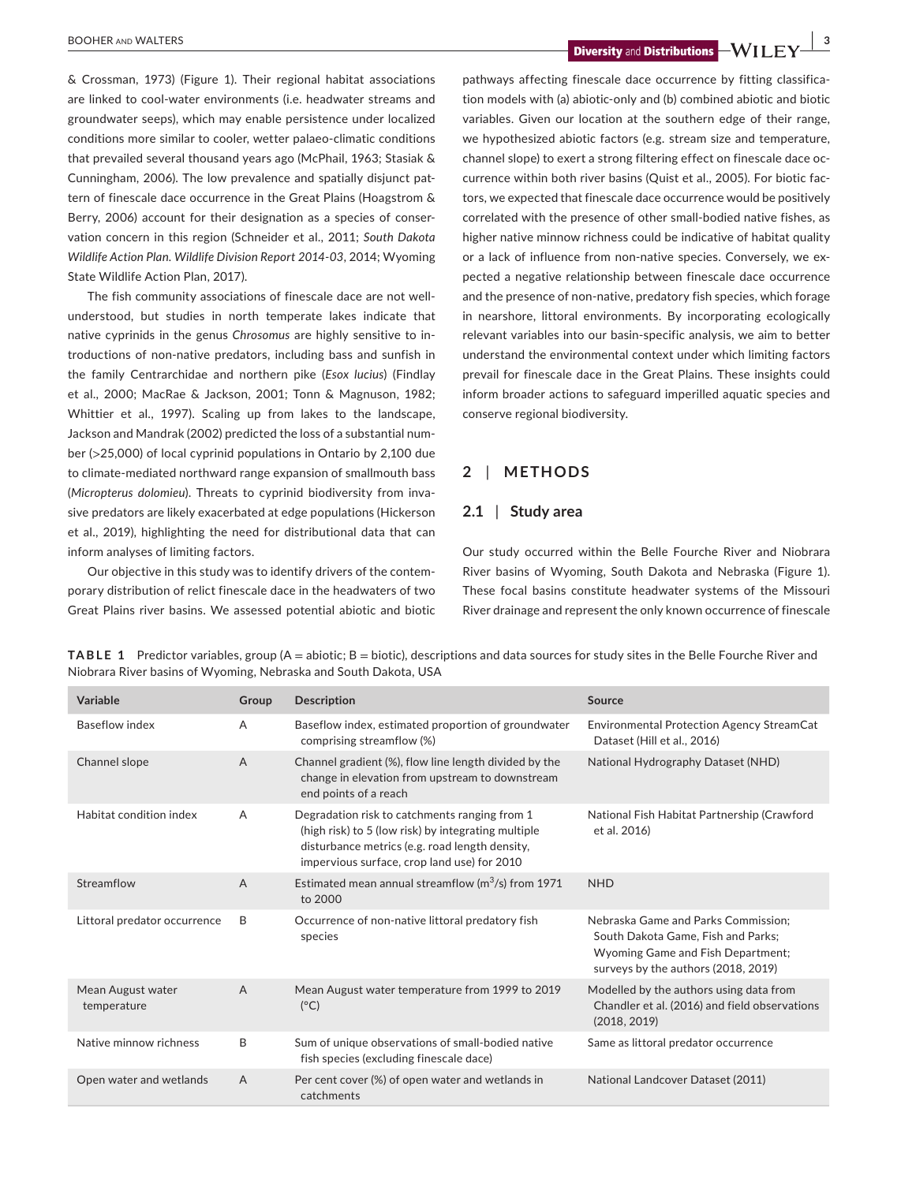**BOOHER AND WALTERS 3 1 Diversity** and **Distributions** 

& Crossman, 1973) (Figure 1). Their regional habitat associations are linked to cool-water environments (i.e. headwater streams and groundwater seeps), which may enable persistence under localized conditions more similar to cooler, wetter palaeo-climatic conditions that prevailed several thousand years ago (McPhail, 1963; Stasiak & Cunningham, 2006). The low prevalence and spatially disjunct pattern of finescale dace occurrence in the Great Plains (Hoagstrom & Berry, 2006) account for their designation as a species of conservation concern in this region (Schneider et al., 2011; *South Dakota Wildlife Action Plan. Wildlife Division Report 2014-03*, 2014; Wyoming State Wildlife Action Plan, 2017).

The fish community associations of finescale dace are not wellunderstood, but studies in north temperate lakes indicate that native cyprinids in the genus *Chrosomus* are highly sensitive to introductions of non-native predators, including bass and sunfish in the family Centrarchidae and northern pike (*Esox lucius*) (Findlay et al., 2000; MacRae & Jackson, 2001; Tonn & Magnuson, 1982; Whittier et al., 1997). Scaling up from lakes to the landscape, Jackson and Mandrak (2002) predicted the loss of a substantial number (>25,000) of local cyprinid populations in Ontario by 2,100 due to climate-mediated northward range expansion of smallmouth bass (*Micropterus dolomieu*). Threats to cyprinid biodiversity from invasive predators are likely exacerbated at edge populations (Hickerson et al., 2019), highlighting the need for distributional data that can inform analyses of limiting factors.

Our objective in this study was to identify drivers of the contemporary distribution of relict finescale dace in the headwaters of two Great Plains river basins. We assessed potential abiotic and biotic pathways affecting finescale dace occurrence by fitting classification models with (a) abiotic-only and (b) combined abiotic and biotic variables. Given our location at the southern edge of their range, we hypothesized abiotic factors (e.g. stream size and temperature, channel slope) to exert a strong filtering effect on finescale dace occurrence within both river basins (Quist et al., 2005). For biotic factors, we expected that finescale dace occurrence would be positively correlated with the presence of other small-bodied native fishes, as higher native minnow richness could be indicative of habitat quality or a lack of influence from non-native species. Conversely, we expected a negative relationship between finescale dace occurrence and the presence of non-native, predatory fish species, which forage in nearshore, littoral environments. By incorporating ecologically relevant variables into our basin-specific analysis, we aim to better understand the environmental context under which limiting factors prevail for finescale dace in the Great Plains. These insights could inform broader actions to safeguard imperilled aquatic species and conserve regional biodiversity.

# **2** | **METHODS**

# **2.1** | **Study area**

Our study occurred within the Belle Fourche River and Niobrara River basins of Wyoming, South Dakota and Nebraska (Figure 1). These focal basins constitute headwater systems of the Missouri River drainage and represent the only known occurrence of finescale

| Variable                         | Group          | <b>Description</b>                                                                                                                                                                                    | Source                                                                                                                                                |
|----------------------------------|----------------|-------------------------------------------------------------------------------------------------------------------------------------------------------------------------------------------------------|-------------------------------------------------------------------------------------------------------------------------------------------------------|
| Baseflow index                   | $\overline{A}$ | Baseflow index, estimated proportion of groundwater<br>comprising streamflow (%)                                                                                                                      | <b>Environmental Protection Agency StreamCat</b><br>Dataset (Hill et al., 2016)                                                                       |
| Channel slope                    | $\overline{A}$ | Channel gradient (%), flow line length divided by the<br>change in elevation from upstream to downstream<br>end points of a reach                                                                     | National Hydrography Dataset (NHD)                                                                                                                    |
| Habitat condition index          | $\overline{A}$ | Degradation risk to catchments ranging from 1<br>(high risk) to 5 (low risk) by integrating multiple<br>disturbance metrics (e.g. road length density,<br>impervious surface, crop land use) for 2010 | National Fish Habitat Partnership (Crawford<br>et al. 2016)                                                                                           |
| Streamflow                       | $\overline{A}$ | Estimated mean annual streamflow ( $m^3/s$ ) from 1971<br>to 2000                                                                                                                                     | <b>NHD</b>                                                                                                                                            |
| Littoral predator occurrence     | B              | Occurrence of non-native littoral predatory fish<br>species                                                                                                                                           | Nebraska Game and Parks Commission:<br>South Dakota Game, Fish and Parks;<br>Wyoming Game and Fish Department;<br>surveys by the authors (2018, 2019) |
| Mean August water<br>temperature | $\overline{A}$ | Mean August water temperature from 1999 to 2019<br>$(^{\circ}C)$                                                                                                                                      | Modelled by the authors using data from<br>Chandler et al. (2016) and field observations<br>(2018, 2019)                                              |
| Native minnow richness           | B              | Sum of unique observations of small-bodied native<br>fish species (excluding finescale dace)                                                                                                          | Same as littoral predator occurrence                                                                                                                  |
| Open water and wetlands          | $\overline{A}$ | Per cent cover (%) of open water and wetlands in<br>catchments                                                                                                                                        | National Landcover Dataset (2011)                                                                                                                     |

**TABLE 1** Predictor variables, group (A = abiotic; B = biotic), descriptions and data sources for study sites in the Belle Fourche River and Niobrara River basins of Wyoming, Nebraska and South Dakota, USA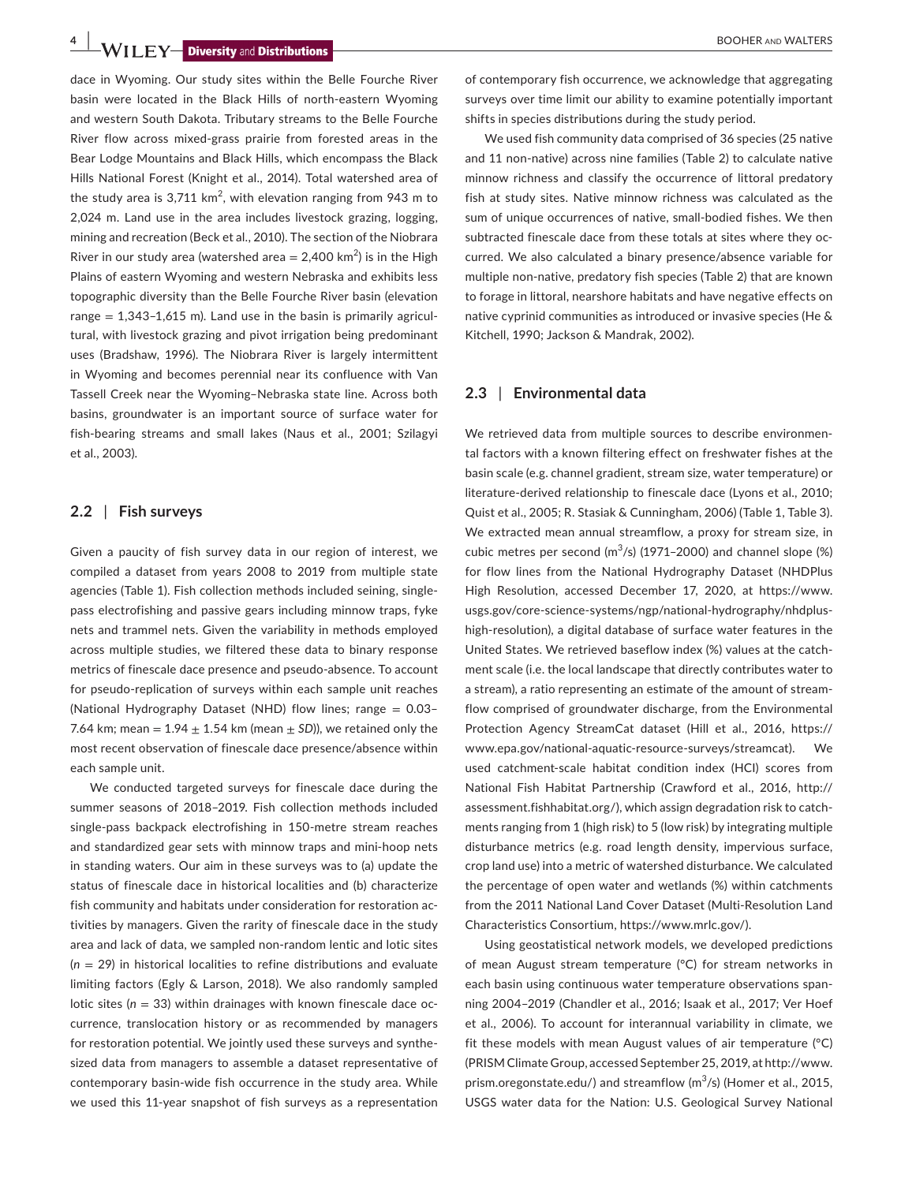**4 |**  BOOHER and WALTERS

dace in Wyoming. Our study sites within the Belle Fourche River basin were located in the Black Hills of north-eastern Wyoming and western South Dakota. Tributary streams to the Belle Fourche River flow across mixed-grass prairie from forested areas in the Bear Lodge Mountains and Black Hills, which encompass the Black Hills National Forest (Knight et al., 2014). Total watershed area of the study area is 3,711 km<sup>2</sup>, with elevation ranging from 943 m to 2,024 m. Land use in the area includes livestock grazing, logging, mining and recreation (Beck et al., 2010). The section of the Niobrara River in our study area (watershed area  $= 2,400 \text{ km}^2$ ) is in the High Plains of eastern Wyoming and western Nebraska and exhibits less topographic diversity than the Belle Fourche River basin (elevation range  $= 1,343-1,615$  m). Land use in the basin is primarily agricultural, with livestock grazing and pivot irrigation being predominant uses (Bradshaw, 1996). The Niobrara River is largely intermittent in Wyoming and becomes perennial near its confluence with Van Tassell Creek near the Wyoming–Nebraska state line. Across both basins, groundwater is an important source of surface water for fish-bearing streams and small lakes (Naus et al., 2001; Szilagyi et al., 2003).

### **2.2** | **Fish surveys**

Given a paucity of fish survey data in our region of interest, we compiled a dataset from years 2008 to 2019 from multiple state agencies (Table 1). Fish collection methods included seining, singlepass electrofishing and passive gears including minnow traps, fyke nets and trammel nets. Given the variability in methods employed across multiple studies, we filtered these data to binary response metrics of finescale dace presence and pseudo-absence. To account for pseudo-replication of surveys within each sample unit reaches (National Hydrography Dataset (NHD) flow lines; range = 0.03– 7.64 km; mean =  $1.94 \pm 1.54$  km (mean  $\pm$  SD)), we retained only the most recent observation of finescale dace presence/absence within each sample unit.

We conducted targeted surveys for finescale dace during the summer seasons of 2018–2019. Fish collection methods included single-pass backpack electrofishing in 150-metre stream reaches and standardized gear sets with minnow traps and mini-hoop nets in standing waters. Our aim in these surveys was to (a) update the status of finescale dace in historical localities and (b) characterize fish community and habitats under consideration for restoration activities by managers. Given the rarity of finescale dace in the study area and lack of data, we sampled non-random lentic and lotic sites (*n* = 29) in historical localities to refine distributions and evaluate limiting factors (Egly & Larson, 2018). We also randomly sampled lotic sites (*n* = 33) within drainages with known finescale dace occurrence, translocation history or as recommended by managers for restoration potential. We jointly used these surveys and synthesized data from managers to assemble a dataset representative of contemporary basin-wide fish occurrence in the study area. While we used this 11-year snapshot of fish surveys as a representation

of contemporary fish occurrence, we acknowledge that aggregating surveys over time limit our ability to examine potentially important shifts in species distributions during the study period.

We used fish community data comprised of 36 species (25 native and 11 non-native) across nine families (Table 2) to calculate native minnow richness and classify the occurrence of littoral predatory fish at study sites. Native minnow richness was calculated as the sum of unique occurrences of native, small-bodied fishes. We then subtracted finescale dace from these totals at sites where they occurred. We also calculated a binary presence/absence variable for multiple non-native, predatory fish species (Table 2) that are known to forage in littoral, nearshore habitats and have negative effects on native cyprinid communities as introduced or invasive species (He & Kitchell, 1990; Jackson & Mandrak, 2002).

# **2.3** | **Environmental data**

We retrieved data from multiple sources to describe environmental factors with a known filtering effect on freshwater fishes at the basin scale (e.g. channel gradient, stream size, water temperature) or literature-derived relationship to finescale dace (Lyons et al., 2010; Quist et al., 2005; R. Stasiak & Cunningham, 2006) (Table 1, Table 3). We extracted mean annual streamflow, a proxy for stream size, in cubic metres per second  $(m^3/s)$  (1971–2000) and channel slope  $(\%)$ for flow lines from the National Hydrography Dataset (NHDPlus High Resolution, accessed December 17, 2020, at [https://www.](https://www.usgs.gov/core-science-systems/ngp/national-hydrography/nhdplus-high-resolution) [usgs.gov/core-science-systems/ngp/national-hydrography/nhdplus](https://www.usgs.gov/core-science-systems/ngp/national-hydrography/nhdplus-high-resolution)[high-resolution](https://www.usgs.gov/core-science-systems/ngp/national-hydrography/nhdplus-high-resolution)), a digital database of surface water features in the United States. We retrieved baseflow index (%) values at the catchment scale (i.e. the local landscape that directly contributes water to a stream), a ratio representing an estimate of the amount of streamflow comprised of groundwater discharge, from the Environmental Protection Agency StreamCat dataset (Hill et al., 2016, [https://](https://www.epa.gov/national-aquatic-resource-surveys/streamcat) [www.epa.gov/national-aquatic-resource-surveys/streamcat\)](https://www.epa.gov/national-aquatic-resource-surveys/streamcat). We used catchment-scale habitat condition index (HCI) scores from National Fish Habitat Partnership (Crawford et al., 2016, [http://](http://assessment.fishhabitat.org/) [assessment.fishhabitat.org/](http://assessment.fishhabitat.org/)), which assign degradation risk to catchments ranging from 1 (high risk) to 5 (low risk) by integrating multiple disturbance metrics (e.g. road length density, impervious surface, crop land use) into a metric of watershed disturbance. We calculated the percentage of open water and wetlands (%) within catchments from the 2011 National Land Cover Dataset (Multi-Resolution Land Characteristics Consortium, [https://www.mrlc.gov/\)](https://www.mrlc.gov/).

Using geostatistical network models, we developed predictions of mean August stream temperature (°C) for stream networks in each basin using continuous water temperature observations spanning 2004–2019 (Chandler et al., 2016; Isaak et al., 2017; Ver Hoef et al., 2006). To account for interannual variability in climate, we fit these models with mean August values of air temperature (°C) (PRISM Climate Group, accessed September 25, 2019, at [http://www.](http://www.prism.oregonstate.edu/) [prism.oregonstate.edu/](http://www.prism.oregonstate.edu/)) and streamflow  $(m^3/s)$  (Homer et al., 2015, USGS water data for the Nation: U.S. Geological Survey National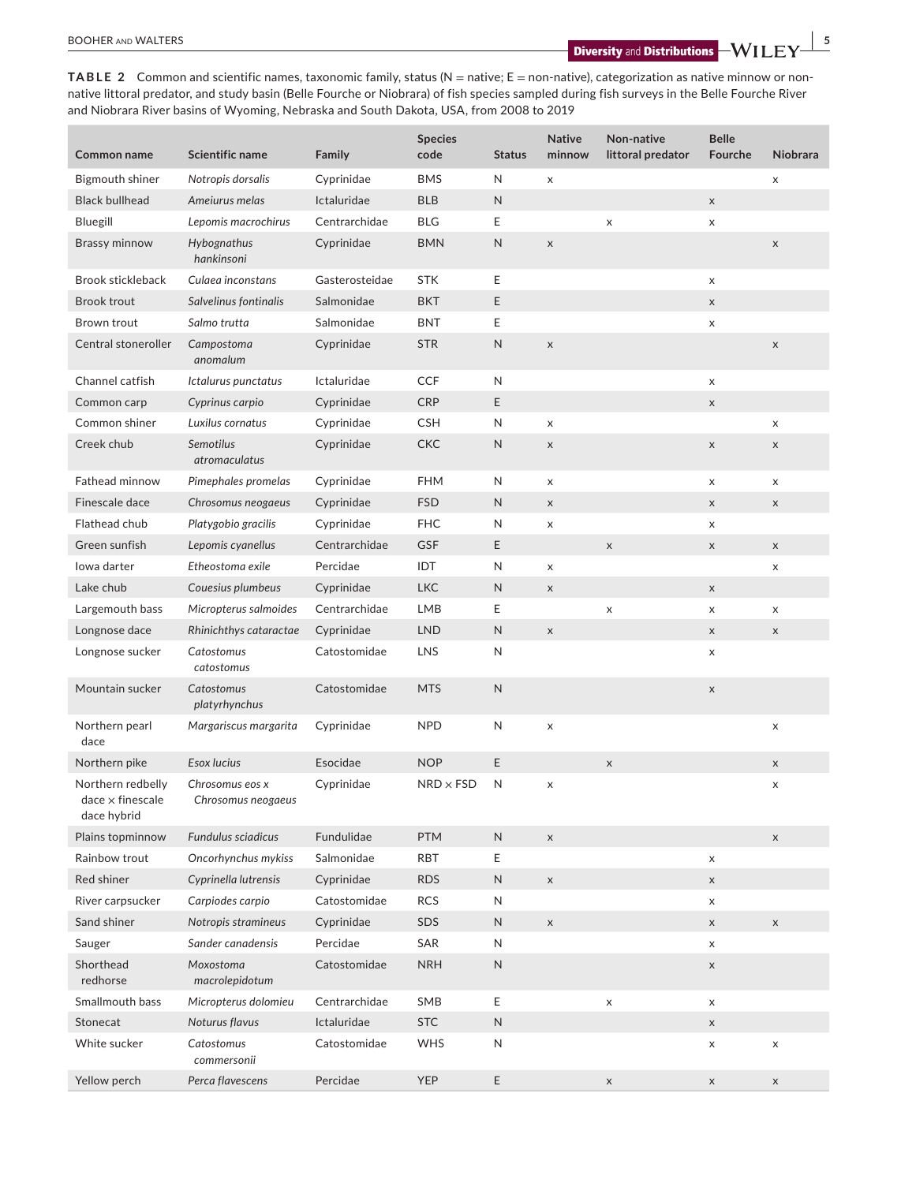**TABLE 2** Common and scientific names, taxonomic family, status (N = native; E = non-native), categorization as native minnow or nonnative littoral predator, and study basin (Belle Fourche or Niobrara) of fish species sampled during fish surveys in the Belle Fourche River and Niobrara River basins of Wyoming, Nebraska and South Dakota, USA, from 2008 to 2019

| <b>Common name</b>                                          | Scientific name                       | Family         | <b>Species</b><br>code | <b>Status</b> | <b>Native</b><br>minnow | Non-native<br>littoral predator | <b>Belle</b><br>Fourche | <b>Niobrara</b> |
|-------------------------------------------------------------|---------------------------------------|----------------|------------------------|---------------|-------------------------|---------------------------------|-------------------------|-----------------|
| Bigmouth shiner                                             | Notropis dorsalis                     | Cyprinidae     | <b>BMS</b>             | N             | X                       |                                 |                         | X               |
| <b>Black bullhead</b>                                       | Ameiurus melas                        | Ictaluridae    | <b>BLB</b>             | $\mathsf N$   |                         |                                 | X                       |                 |
| Bluegill                                                    | Lepomis macrochirus                   | Centrarchidae  | <b>BLG</b>             | Ε             |                         | $\mathsf X$                     | X                       |                 |
| Brassy minnow                                               | Hybognathus<br>hankinsoni             | Cyprinidae     | <b>BMN</b>             | $\mathsf N$   | $\mathsf X$             |                                 |                         | $\mathsf X$     |
| <b>Brook stickleback</b>                                    | Culaea inconstans                     | Gasterosteidae | <b>STK</b>             | Ε             |                         |                                 | X                       |                 |
| <b>Brook trout</b>                                          | Salvelinus fontinalis                 | Salmonidae     | <b>BKT</b>             | E             |                         |                                 | X                       |                 |
| Brown trout                                                 | Salmo trutta                          | Salmonidae     | <b>BNT</b>             | Е             |                         |                                 | X                       |                 |
| Central stoneroller                                         | Campostoma<br>anomalum                | Cyprinidae     | <b>STR</b>             | N             | $\mathsf X$             |                                 |                         | $\mathsf X$     |
| Channel catfish                                             | Ictalurus punctatus                   | Ictaluridae    | <b>CCF</b>             | N             |                         |                                 | X                       |                 |
| Common carp                                                 | Cyprinus carpio                       | Cyprinidae     | <b>CRP</b>             | E             |                         |                                 | X                       |                 |
| Common shiner                                               | Luxilus cornatus                      | Cyprinidae     | <b>CSH</b>             | N             | $\pmb{\times}$          |                                 |                         | X               |
| Creek chub                                                  | <b>Semotilus</b><br>atromaculatus     | Cyprinidae     | <b>CKC</b>             | $\mathsf{N}$  | $\mathsf X$             |                                 | X                       | X               |
| <b>Fathead minnow</b>                                       | Pimephales promelas                   | Cyprinidae     | <b>FHM</b>             | N             | X                       |                                 | X                       | X               |
| Finescale dace                                              | Chrosomus neogaeus                    | Cyprinidae     | <b>FSD</b>             | N             | $\mathsf X$             |                                 | X                       | $\mathsf X$     |
| Flathead chub                                               | Platygobio gracilis                   | Cyprinidae     | <b>FHC</b>             | N             | X                       |                                 | X                       |                 |
| Green sunfish                                               | Lepomis cyanellus                     | Centrarchidae  | GSF                    | E             |                         | $\mathsf X$                     | $\mathsf X$             | $\mathsf X$     |
| lowa darter                                                 | Etheostoma exile                      | Percidae       | IDT                    | N             | X                       |                                 |                         | X               |
| Lake chub                                                   | Couesius plumbeus                     | Cyprinidae     | <b>LKC</b>             | N             | $\mathsf X$             |                                 | $\mathsf X$             |                 |
| Largemouth bass                                             | Micropterus salmoides                 | Centrarchidae  | LMB                    | Ε             |                         | $\pmb{\times}$                  | X                       | X               |
| Longnose dace                                               | Rhinichthys cataractae                | Cyprinidae     | <b>LND</b>             | $\mathsf{N}$  | $\mathsf X$             |                                 | $\mathsf X$             | $\mathsf X$     |
| Longnose sucker                                             | Catostomus<br>catostomus              | Catostomidae   | LNS                    | $\mathsf{N}$  |                         |                                 | X                       |                 |
| Mountain sucker                                             | Catostomus<br>platyrhynchus           | Catostomidae   | <b>MTS</b>             | $\mathsf N$   |                         |                                 | $\mathsf X$             |                 |
| Northern pearl<br>dace                                      | Margariscus margarita                 | Cyprinidae     | <b>NPD</b>             | N             | X                       |                                 |                         | X               |
| Northern pike                                               | Esox lucius                           | Esocidae       | <b>NOP</b>             | E             |                         | $\mathsf X$                     |                         | $\mathsf X$     |
| Northern redbelly<br>$dace \times finescale$<br>dace hybrid | Chrosomus eos x<br>Chrosomus neogaeus | Cyprinidae     | $NRD \times FSD$       | N             | X                       |                                 |                         | X               |
| Plains topminnow                                            | <b>Fundulus sciadicus</b>             | Fundulidae     | <b>PTM</b>             | ${\sf N}$     | $\mathsf X$             |                                 |                         | $\mathsf X$     |
| Rainbow trout                                               | Oncorhynchus mykiss                   | Salmonidae     | RBT                    | E             |                         |                                 | X                       |                 |
| Red shiner                                                  | Cyprinella lutrensis                  | Cyprinidae     | <b>RDS</b>             | N             | $\mathsf X$             |                                 | $\mathsf X$             |                 |
| River carpsucker                                            | Carpiodes carpio                      | Catostomidae   | <b>RCS</b>             | N             |                         |                                 | X                       |                 |
| Sand shiner                                                 | Notropis stramineus                   | Cyprinidae     | SDS                    | ${\sf N}$     | $\mathsf X$             |                                 | $\mathsf X$             | $\mathsf X$     |
| Sauger                                                      | Sander canadensis                     | Percidae       | SAR                    | N             |                         |                                 | X                       |                 |
| Shorthead<br>redhorse                                       | Moxostoma<br>macrolepidotum           | Catostomidae   | <b>NRH</b>             | ${\sf N}$     |                         |                                 | $\mathsf X$             |                 |
| Smallmouth bass                                             | Micropterus dolomieu                  | Centrarchidae  | SMB                    | E             |                         | X                               | X                       |                 |
| Stonecat                                                    | Noturus flavus                        | Ictaluridae    | <b>STC</b>             | ${\sf N}$     |                         |                                 | $\mathsf X$             |                 |
| White sucker                                                | Catostomus<br>commersonii             | Catostomidae   | WHS                    | $\mathsf{N}$  |                         |                                 | X                       | X               |
| Yellow perch                                                | Perca flavescens                      | Percidae       | <b>YEP</b>             | Ε             |                         | $\mathsf X$                     | $\mathsf X$             | $\mathsf X$     |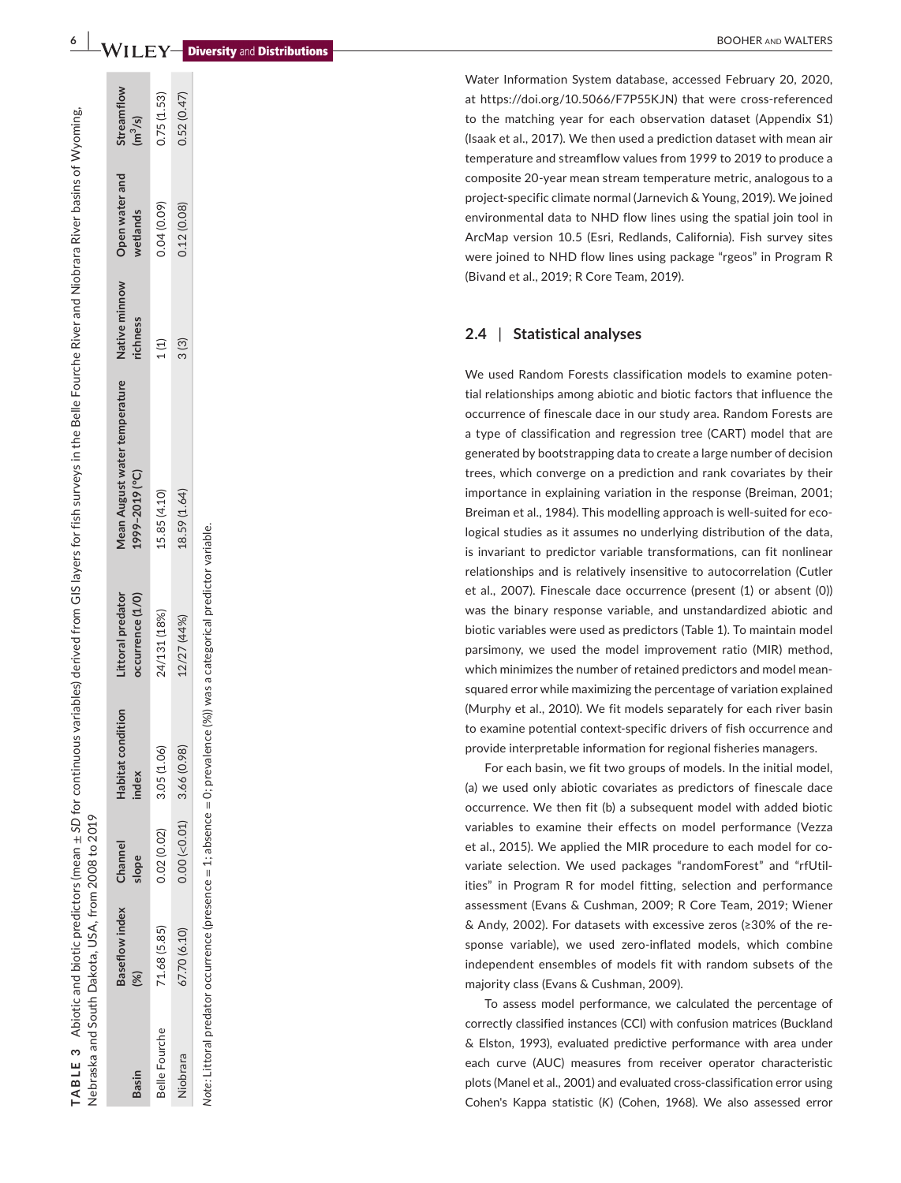# **6 a BOOHER** and **Number and Distributions**

Water Information System database, accessed February 20, 2020, at [https://doi.org/10.5066/F7P55KJN\)](https://doi.org/10.5066/F7P55KJN) that were cross-referenced to the matching year for each observation dataset (Appendix S1) (Isaak et al., 2017). We then used a prediction dataset with mean air temperature and streamflow values from 1999 to 2019 to produce a composite 20-year mean stream temperature metric, analogous to a project-specific climate normal (Jarnevich & Young, 2019). We joined environmental data to NHD flow lines using the spatial join tool in ArcMap version 10.5 (Esri, Redlands, California). Fish survey sites were joined to NHD flow lines using package "rgeos" in Program R (Bivand et al., 2019; R Core Team, 2019).

#### **2.4**  | **Statistical analyses**

We used Random Forests classification models to examine poten tial relationships among abiotic and biotic factors that influence the occurrence of finescale dace in our study area. Random Forests are a type of classification and regression tree (CART) model that are generated by bootstrapping data to create a large number of decision trees, which converge on a prediction and rank covariates by their importance in explaining variation in the response (Breiman, 2001; Breiman et al., 1984). This modelling approach is well-suited for eco logical studies as it assumes no underlying distribution of the data, is invariant to predictor variable transformations, can fit nonlinear relationships and is relatively insensitive to autocorrelation (Cutler et al., 2007). Finescale dace occurrence (present (1) or absent (0)) was the binary response variable, and unstandardized abiotic and biotic variables were used as predictors (Table 1). To maintain model parsimony, we used the model improvement ratio (MIR) method, which minimizes the number of retained predictors and model meansquared error while maximizing the percentage of variation explained (Murphy et al., 2010). We fit models separately for each river basin to examine potential context-specific drivers of fish occurrence and provide interpretable information for regional fisheries managers.

For each basin, we fit two groups of models. In the initial model, (a) we used only abiotic covariates as predictors of finescale dace occurrence. We then fit (b) a subsequent model with added biotic variables to examine their effects on model performance (Vezza et al., 2015). We applied the MIR procedure to each model for co variate selection. We used packages "randomForest" and "rfUtil ities" in Program R for model fitting, selection and performance assessment (Evans & Cushman, 2009; R Core Team, 2019; Wiener & Andy, 2002). For datasets with excessive zeros (≥30% of the re sponse variable), we used zero-inflated models, which combine independent ensembles of models fit with random subsets of the majority class (Evans & Cushman, 2009).

To assess model performance, we calculated the percentage of correctly classified instances (CCI) with confusion matrices (Buckland & Elston, 1993), evaluated predictive performance with area under each curve (AUC) measures from receiver operator characteristic plots (Manel et al., 2001) and evaluated cross-classification error using Cohen's Kappa statistic ( *K*) (Cohen, 1968). We also assessed error

Abiotic and biotic predictors (mean  $\pm$  SD for continuous variables) derived from GIS layers for fish surveys in the Belle Fourche River and Niobrara River basins of Wyoming. Abiotic and biotic predictors (mean ± *SD* for continuous variables) derived from GIS layers for fish surveys in the Belle Fourche River and Niobrara River basins of Wyoming, Nebraska and South Dakota, USA, from 2008 to 2019 Nebraska and South Dakota, USA, from 2008 to 2019 **TABLE 3**  TABLE 3

| <b>Basin</b>  | saseflow index | Channel<br>slope   | Habitat condition<br>ndex | ccurrence (1/0)<br>ittoral predator | <b>Aean August water temperature</b><br>[999-2019 (°C) | Native minnow<br>ichness | Open water and<br>wetlands | Streamflow<br>$(m^3/s)$ |
|---------------|----------------|--------------------|---------------------------|-------------------------------------|--------------------------------------------------------|--------------------------|----------------------------|-------------------------|
| selle Fourche | 71.68 (5.85,   | 0.02 (0.02)        | 3.05(1.06)                | 24/131 (18%)                        | 15.85 (4.10)                                           | 1(1)                     | 0.04(0.09)                 | 0.75(1.53)              |
| liobrara      | \$7.70 (6.10)  | $0.00$ (< $0.01$ ) | 3.66 (0.98)               | 12/27 (44%)                         | 18.59(1.64)                                            | 3(3)                     | 0.12(0.08)                 | 7.52(0.47)              |

was a categorical predictor variable. *Note:* Littoral predator occurrence (presence = 1; absence = 0; prevalence (%)) was a categorical predictor variable.Note: Littoral predator occurrence (presence = 1; absence = 0; prevalence  $(%)$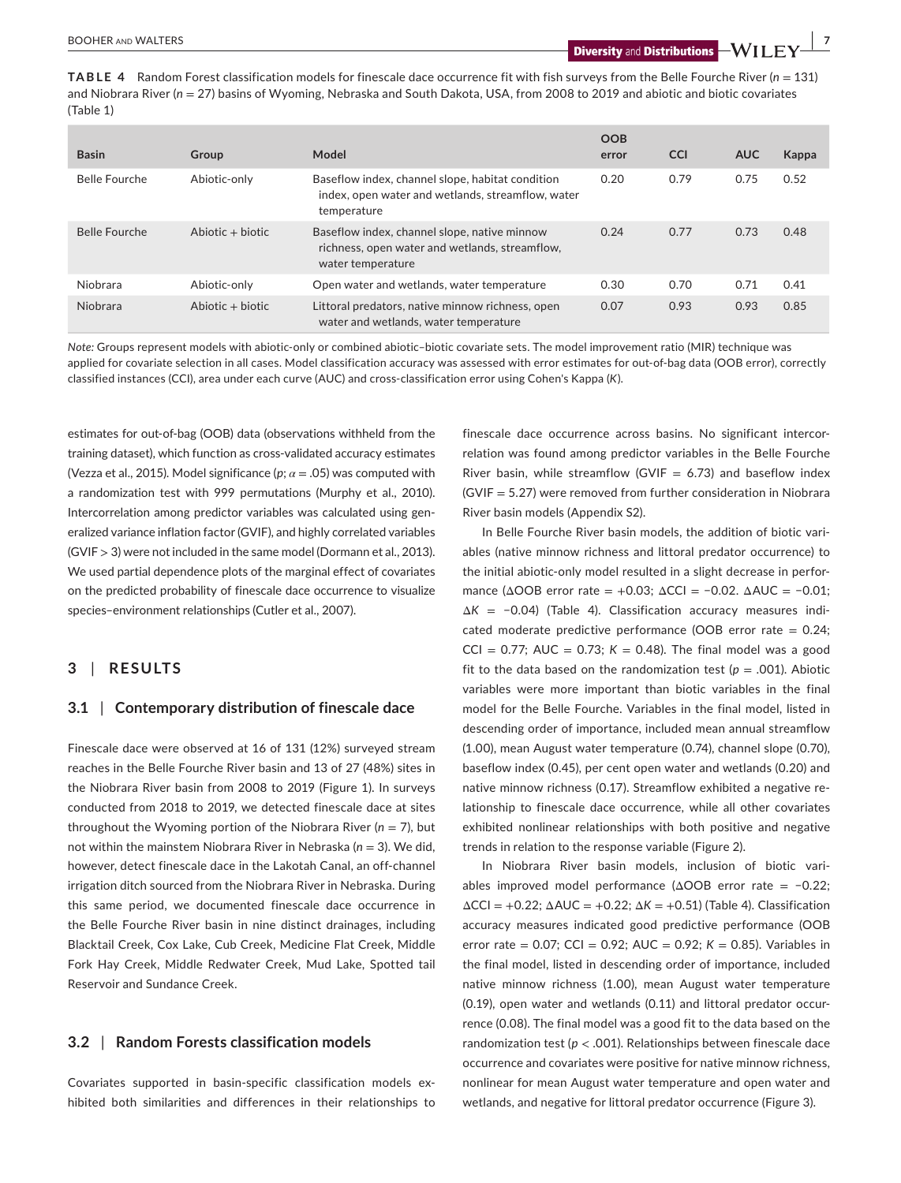**TABLE 4** Random Forest classification models for finescale dace occurrence fit with fish surveys from the Belle Fourche River (*n* = 131) and Niobrara River ( $n = 27$ ) basins of Wyoming, Nebraska and South Dakota, USA, from 2008 to 2019 and abiotic and biotic covariates (Table 1)

| <b>Basin</b>         | Group              | Model                                                                                                                | <b>OOB</b><br>error | <b>CCI</b> | <b>AUC</b> | Kappa |
|----------------------|--------------------|----------------------------------------------------------------------------------------------------------------------|---------------------|------------|------------|-------|
| <b>Belle Fourche</b> | Abiotic-only       | Baseflow index, channel slope, habitat condition<br>index, open water and wetlands, streamflow, water<br>temperature | 0.20                | 0.79       | 0.75       | 0.52  |
| <b>Belle Fourche</b> | Abiotic $+$ biotic | Baseflow index, channel slope, native minnow<br>richness, open water and wetlands, streamflow.<br>water temperature  | 0.24                | 0.77       | 0.73       | 0.48  |
| Niobrara             | Abiotic-only       | Open water and wetlands, water temperature                                                                           | 0.30                | 0.70       | 0.71       | 0.41  |
| Niobrara             | $Abiotic + biotic$ | Littoral predators, native minnow richness, open<br>water and wetlands, water temperature                            | 0.07                | 0.93       | 0.93       | 0.85  |

*Note:* Groups represent models with abiotic-only or combined abiotic–biotic covariate sets. The model improvement ratio (MIR) technique was applied for covariate selection in all cases. Model classification accuracy was assessed with error estimates for out-of-bag data (OOB error), correctly classified instances (CCI), area under each curve (AUC) and cross-classification error using Cohen's Kappa (*K*).

estimates for out-of-bag (OOB) data (observations withheld from the training dataset), which function as cross-validated accuracy estimates (Vezza et al., 2015). Model significance ( $p$ ;  $\alpha$  = .05) was computed with a randomization test with 999 permutations (Murphy et al., 2010). Intercorrelation among predictor variables was calculated using generalized variance inflation factor (GVIF), and highly correlated variables (GVIF > 3) were not included in the same model (Dormann et al., 2013). We used partial dependence plots of the marginal effect of covariates on the predicted probability of finescale dace occurrence to visualize species–environment relationships (Cutler et al., 2007).

# **3** | **RESULTS**

# **3.1** | **Contemporary distribution of finescale dace**

Finescale dace were observed at 16 of 131 (12%) surveyed stream reaches in the Belle Fourche River basin and 13 of 27 (48%) sites in the Niobrara River basin from 2008 to 2019 (Figure 1). In surveys conducted from 2018 to 2019, we detected finescale dace at sites throughout the Wyoming portion of the Niobrara River ( $n = 7$ ), but not within the mainstem Niobrara River in Nebraska (*n* = 3). We did, however, detect finescale dace in the Lakotah Canal, an off-channel irrigation ditch sourced from the Niobrara River in Nebraska. During this same period, we documented finescale dace occurrence in the Belle Fourche River basin in nine distinct drainages, including Blacktail Creek, Cox Lake, Cub Creek, Medicine Flat Creek, Middle Fork Hay Creek, Middle Redwater Creek, Mud Lake, Spotted tail Reservoir and Sundance Creek.

# **3.2** | **Random Forests classification models**

Covariates supported in basin-specific classification models exhibited both similarities and differences in their relationships to finescale dace occurrence across basins. No significant intercorrelation was found among predictor variables in the Belle Fourche River basin, while streamflow (GVIF = 6.73) and baseflow index (GVIF = 5.27) were removed from further consideration in Niobrara River basin models (Appendix S2).

In Belle Fourche River basin models, the addition of biotic variables (native minnow richness and littoral predator occurrence) to the initial abiotic-only model resulted in a slight decrease in performance ( $\triangle OOB$  error rate = +0.03;  $\triangle CCI$  = -0.02.  $\triangle AUC$  = -0.01; Δ*K* = −0.04) (Table 4). Classification accuracy measures indicated moderate predictive performance (OOB error rate =  $0.24$ ; CCI =  $0.77$ ; AUC =  $0.73$ ;  $K = 0.48$ ). The final model was a good fit to the data based on the randomization test ( $p = .001$ ). Abiotic variables were more important than biotic variables in the final model for the Belle Fourche. Variables in the final model, listed in descending order of importance, included mean annual streamflow (1.00), mean August water temperature (0.74), channel slope (0.70), baseflow index (0.45), per cent open water and wetlands (0.20) and native minnow richness (0.17). Streamflow exhibited a negative relationship to finescale dace occurrence, while all other covariates exhibited nonlinear relationships with both positive and negative trends in relation to the response variable (Figure 2).

In Niobrara River basin models, inclusion of biotic variables improved model performance (ΔOOB error rate = −0.22;  $\Delta$ CCI = +0.22;  $\Delta$ AUC = +0.22;  $\Delta$ K = +0.51) (Table 4). Classification accuracy measures indicated good predictive performance (OOB error rate = 0.07; CCI = 0.92; AUC = 0.92; *K* = 0.85). Variables in the final model, listed in descending order of importance, included native minnow richness (1.00), mean August water temperature (0.19), open water and wetlands (0.11) and littoral predator occurrence (0.08). The final model was a good fit to the data based on the randomization test (*p* < .001). Relationships between finescale dace occurrence and covariates were positive for native minnow richness, nonlinear for mean August water temperature and open water and wetlands, and negative for littoral predator occurrence (Figure 3).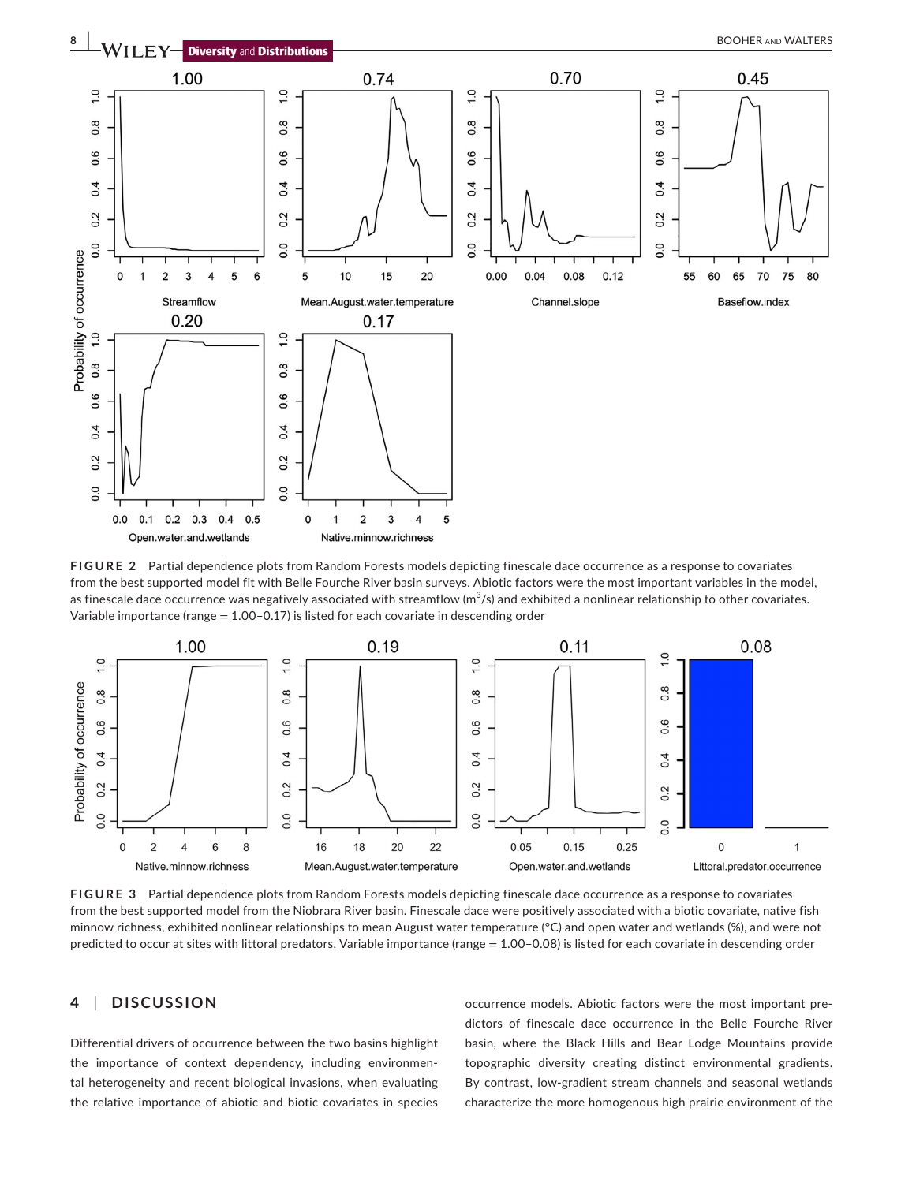

**FIGURE 2** Partial dependence plots from Random Forests models depicting finescale dace occurrence as a response to covariates from the best supported model fit with Belle Fourche River basin surveys. Abiotic factors were the most important variables in the model, as finescale dace occurrence was negatively associated with streamflow ( $\text{m}^3$ /s) and exhibited a nonlinear relationship to other covariates. Variable importance (range  $= 1.00 - 0.17$ ) is listed for each covariate in descending order



**FIGURE 3** Partial dependence plots from Random Forests models depicting finescale dace occurrence as a response to covariates from the best supported model from the Niobrara River basin. Finescale dace were positively associated with a biotic covariate, native fish minnow richness, exhibited nonlinear relationships to mean August water temperature (°C) and open water and wetlands (%), and were not predicted to occur at sites with littoral predators. Variable importance (range = 1.00–0.08) is listed for each covariate in descending order

# **4** | **DISCUSSION**

Differential drivers of occurrence between the two basins highlight the importance of context dependency, including environmental heterogeneity and recent biological invasions, when evaluating the relative importance of abiotic and biotic covariates in species occurrence models. Abiotic factors were the most important predictors of finescale dace occurrence in the Belle Fourche River basin, where the Black Hills and Bear Lodge Mountains provide topographic diversity creating distinct environmental gradients. By contrast, low-gradient stream channels and seasonal wetlands characterize the more homogenous high prairie environment of the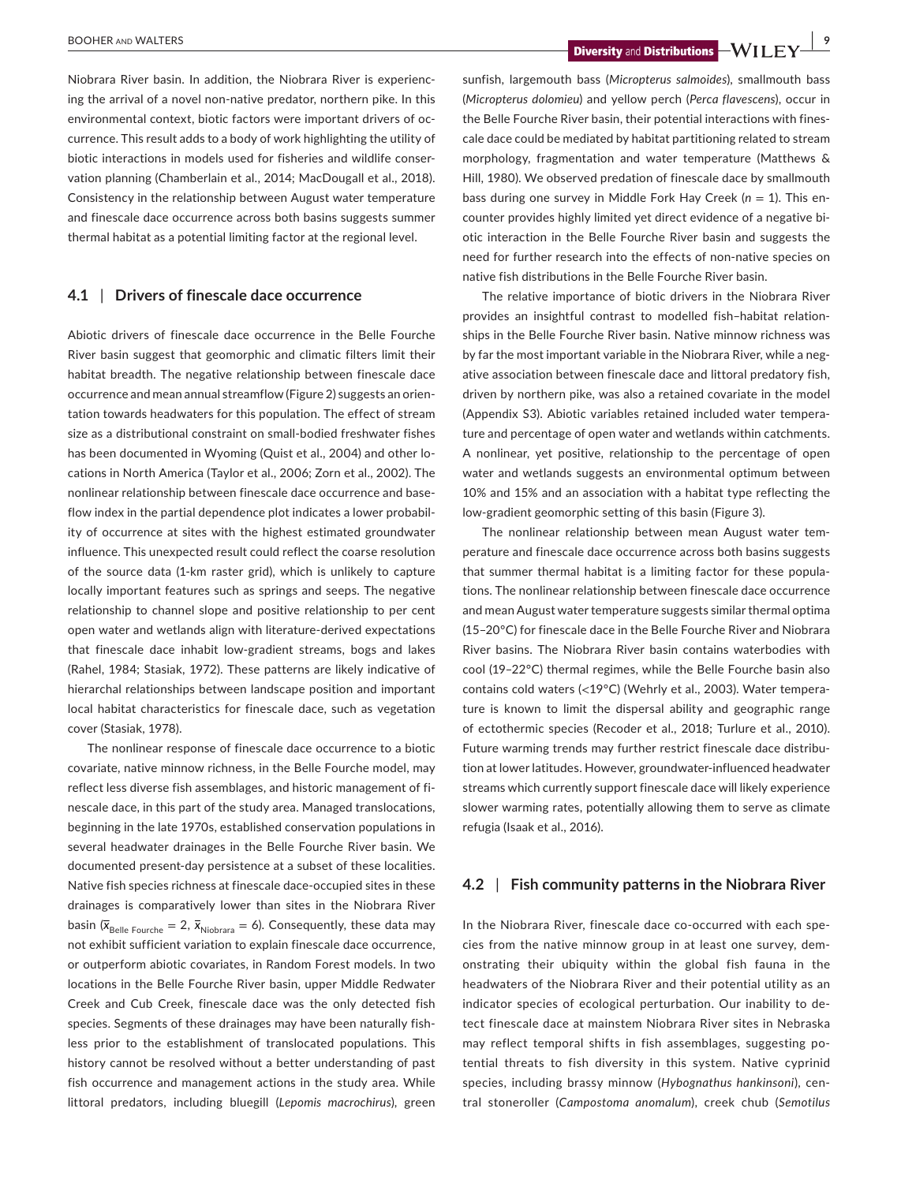**EXECUTER AND WALTERS BOOHER AND WALTERS 9** 

Niobrara River basin. In addition, the Niobrara River is experiencing the arrival of a novel non-native predator, northern pike. In this environmental context, biotic factors were important drivers of occurrence. This result adds to a body of work highlighting the utility of biotic interactions in models used for fisheries and wildlife conservation planning (Chamberlain et al., 2014; MacDougall et al., 2018). Consistency in the relationship between August water temperature and finescale dace occurrence across both basins suggests summer thermal habitat as a potential limiting factor at the regional level.

# **4.1** | **Drivers of finescale dace occurrence**

Abiotic drivers of finescale dace occurrence in the Belle Fourche River basin suggest that geomorphic and climatic filters limit their habitat breadth. The negative relationship between finescale dace occurrence and mean annual streamflow (Figure 2) suggests an orientation towards headwaters for this population. The effect of stream size as a distributional constraint on small-bodied freshwater fishes has been documented in Wyoming (Quist et al., 2004) and other locations in North America (Taylor et al., 2006; Zorn et al., 2002). The nonlinear relationship between finescale dace occurrence and baseflow index in the partial dependence plot indicates a lower probability of occurrence at sites with the highest estimated groundwater influence. This unexpected result could reflect the coarse resolution of the source data (1-km raster grid), which is unlikely to capture locally important features such as springs and seeps. The negative relationship to channel slope and positive relationship to per cent open water and wetlands align with literature-derived expectations that finescale dace inhabit low-gradient streams, bogs and lakes (Rahel, 1984; Stasiak, 1972). These patterns are likely indicative of hierarchal relationships between landscape position and important local habitat characteristics for finescale dace, such as vegetation cover (Stasiak, 1978).

The nonlinear response of finescale dace occurrence to a biotic covariate, native minnow richness, in the Belle Fourche model, may reflect less diverse fish assemblages, and historic management of finescale dace, in this part of the study area. Managed translocations, beginning in the late 1970s, established conservation populations in several headwater drainages in the Belle Fourche River basin. We documented present-day persistence at a subset of these localities. Native fish species richness at finescale dace-occupied sites in these drainages is comparatively lower than sites in the Niobrara River basin ( $\bar{x}_{\text{Belle Fourche}} = 2$ ,  $\bar{x}_{\text{Niobrara}} = 6$ ). Consequently, these data may not exhibit sufficient variation to explain finescale dace occurrence, or outperform abiotic covariates, in Random Forest models. In two locations in the Belle Fourche River basin, upper Middle Redwater Creek and Cub Creek, finescale dace was the only detected fish species. Segments of these drainages may have been naturally fishless prior to the establishment of translocated populations. This history cannot be resolved without a better understanding of past fish occurrence and management actions in the study area. While littoral predators, including bluegill (*Lepomis macrochirus*), green

sunfish, largemouth bass (*Micropterus salmoides*), smallmouth bass (*Micropterus dolomieu*) and yellow perch (*Perca flavescens*), occur in the Belle Fourche River basin, their potential interactions with finescale dace could be mediated by habitat partitioning related to stream morphology, fragmentation and water temperature (Matthews & Hill, 1980). We observed predation of finescale dace by smallmouth bass during one survey in Middle Fork Hay Creek (*n* = 1). This encounter provides highly limited yet direct evidence of a negative biotic interaction in the Belle Fourche River basin and suggests the need for further research into the effects of non-native species on native fish distributions in the Belle Fourche River basin.

The relative importance of biotic drivers in the Niobrara River provides an insightful contrast to modelled fish–habitat relationships in the Belle Fourche River basin. Native minnow richness was by far the most important variable in the Niobrara River, while a negative association between finescale dace and littoral predatory fish, driven by northern pike, was also a retained covariate in the model (Appendix S3). Abiotic variables retained included water temperature and percentage of open water and wetlands within catchments. A nonlinear, yet positive, relationship to the percentage of open water and wetlands suggests an environmental optimum between 10% and 15% and an association with a habitat type reflecting the low-gradient geomorphic setting of this basin (Figure 3).

The nonlinear relationship between mean August water temperature and finescale dace occurrence across both basins suggests that summer thermal habitat is a limiting factor for these populations. The nonlinear relationship between finescale dace occurrence and mean August water temperature suggests similar thermal optima (15–20°C) for finescale dace in the Belle Fourche River and Niobrara River basins. The Niobrara River basin contains waterbodies with cool (19–22°C) thermal regimes, while the Belle Fourche basin also contains cold waters (<19°C) (Wehrly et al., 2003). Water temperature is known to limit the dispersal ability and geographic range of ectothermic species (Recoder et al., 2018; Turlure et al., 2010). Future warming trends may further restrict finescale dace distribution at lower latitudes. However, groundwater-influenced headwater streams which currently support finescale dace will likely experience slower warming rates, potentially allowing them to serve as climate refugia (Isaak et al., 2016).

# **4.2** | **Fish community patterns in the Niobrara River**

In the Niobrara River, finescale dace co-occurred with each species from the native minnow group in at least one survey, demonstrating their ubiquity within the global fish fauna in the headwaters of the Niobrara River and their potential utility as an indicator species of ecological perturbation. Our inability to detect finescale dace at mainstem Niobrara River sites in Nebraska may reflect temporal shifts in fish assemblages, suggesting potential threats to fish diversity in this system. Native cyprinid species, including brassy minnow (*Hybognathus hankinsoni*), central stoneroller (*Campostoma anomalum*), creek chub (*Semotilus*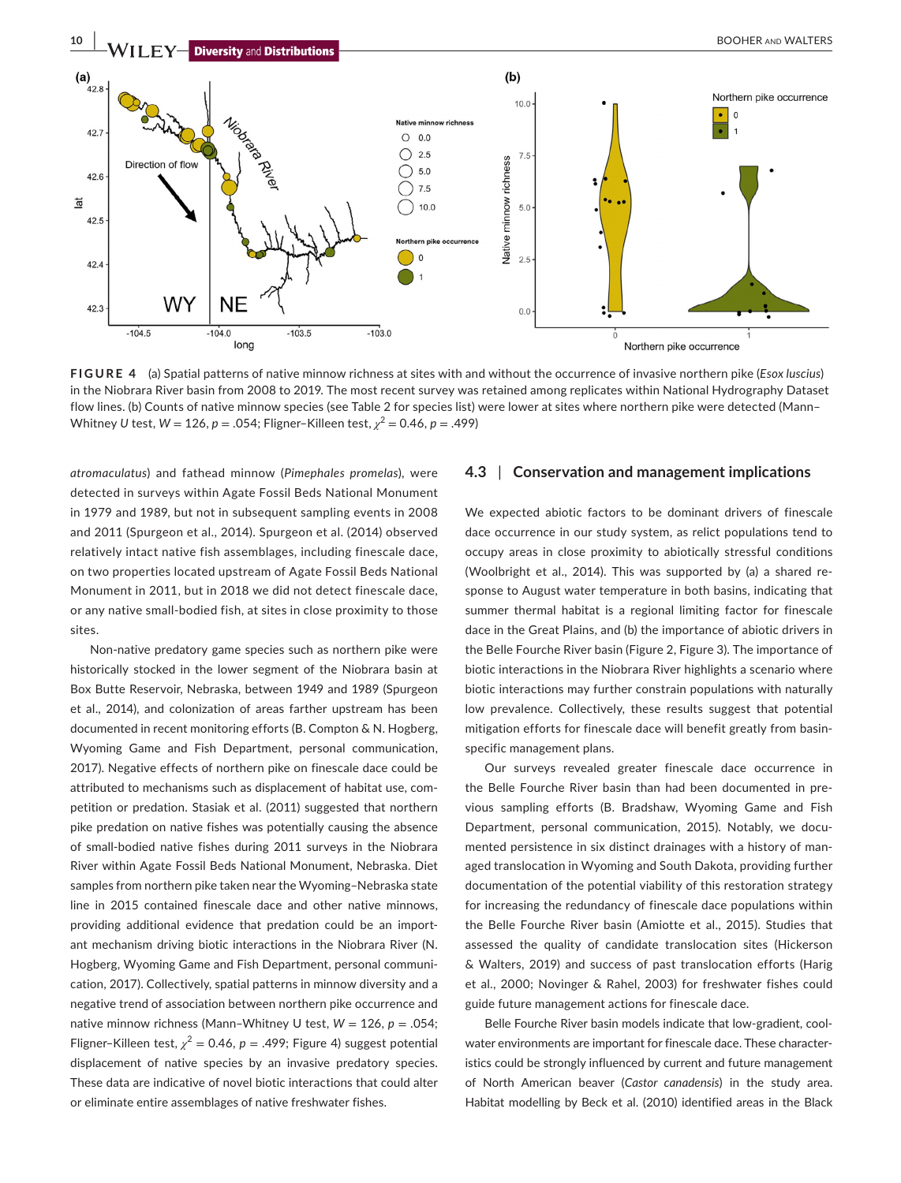

**FIGURE 4** (a) Spatial patterns of native minnow richness at sites with and without the occurrence of invasive northern pike (*Esox luscius*) in the Niobrara River basin from 2008 to 2019. The most recent survey was retained among replicates within National Hydrography Dataset flow lines. (b) Counts of native minnow species (see Table 2 for species list) were lower at sites where northern pike were detected (Mann– Whitney *U* test,  $W = 126$ ,  $p = .054$ ; Fligner-Killeen test,  $\chi^2 = 0.46$ ,  $p = .499$ )

*atromaculatus*) and fathead minnow (*Pimephales promelas*), were detected in surveys within Agate Fossil Beds National Monument in 1979 and 1989, but not in subsequent sampling events in 2008 and 2011 (Spurgeon et al., 2014). Spurgeon et al. (2014) observed relatively intact native fish assemblages, including finescale dace, on two properties located upstream of Agate Fossil Beds National Monument in 2011, but in 2018 we did not detect finescale dace, or any native small-bodied fish, at sites in close proximity to those sites.

Non-native predatory game species such as northern pike were historically stocked in the lower segment of the Niobrara basin at Box Butte Reservoir, Nebraska, between 1949 and 1989 (Spurgeon et al., 2014), and colonization of areas farther upstream has been documented in recent monitoring efforts (B. Compton & N. Hogberg, Wyoming Game and Fish Department, personal communication, 2017). Negative effects of northern pike on finescale dace could be attributed to mechanisms such as displacement of habitat use, competition or predation. Stasiak et al. (2011) suggested that northern pike predation on native fishes was potentially causing the absence of small-bodied native fishes during 2011 surveys in the Niobrara River within Agate Fossil Beds National Monument, Nebraska. Diet samples from northern pike taken near the Wyoming–Nebraska state line in 2015 contained finescale dace and other native minnows, providing additional evidence that predation could be an important mechanism driving biotic interactions in the Niobrara River (N. Hogberg, Wyoming Game and Fish Department, personal communication, 2017). Collectively, spatial patterns in minnow diversity and a negative trend of association between northern pike occurrence and native minnow richness (Mann-Whitney U test,  $W = 126$ ,  $p = .054$ ; Fligner–Killeen test,  $\chi^2$  = 0.46,  $p$  = .499; Figure 4) suggest potential displacement of native species by an invasive predatory species. These data are indicative of novel biotic interactions that could alter or eliminate entire assemblages of native freshwater fishes.

# **4.3** | **Conservation and management implications**

We expected abiotic factors to be dominant drivers of finescale dace occurrence in our study system, as relict populations tend to occupy areas in close proximity to abiotically stressful conditions (Woolbright et al., 2014). This was supported by (a) a shared response to August water temperature in both basins, indicating that summer thermal habitat is a regional limiting factor for finescale dace in the Great Plains, and (b) the importance of abiotic drivers in the Belle Fourche River basin (Figure 2, Figure 3). The importance of biotic interactions in the Niobrara River highlights a scenario where biotic interactions may further constrain populations with naturally low prevalence. Collectively, these results suggest that potential mitigation efforts for finescale dace will benefit greatly from basinspecific management plans.

Our surveys revealed greater finescale dace occurrence in the Belle Fourche River basin than had been documented in previous sampling efforts (B. Bradshaw, Wyoming Game and Fish Department, personal communication, 2015). Notably, we documented persistence in six distinct drainages with a history of managed translocation in Wyoming and South Dakota, providing further documentation of the potential viability of this restoration strategy for increasing the redundancy of finescale dace populations within the Belle Fourche River basin (Amiotte et al., 2015). Studies that assessed the quality of candidate translocation sites (Hickerson & Walters, 2019) and success of past translocation efforts (Harig et al., 2000; Novinger & Rahel, 2003) for freshwater fishes could guide future management actions for finescale dace.

Belle Fourche River basin models indicate that low-gradient, coolwater environments are important for finescale dace. These characteristics could be strongly influenced by current and future management of North American beaver (*Castor canadensis*) in the study area. Habitat modelling by Beck et al. (2010) identified areas in the Black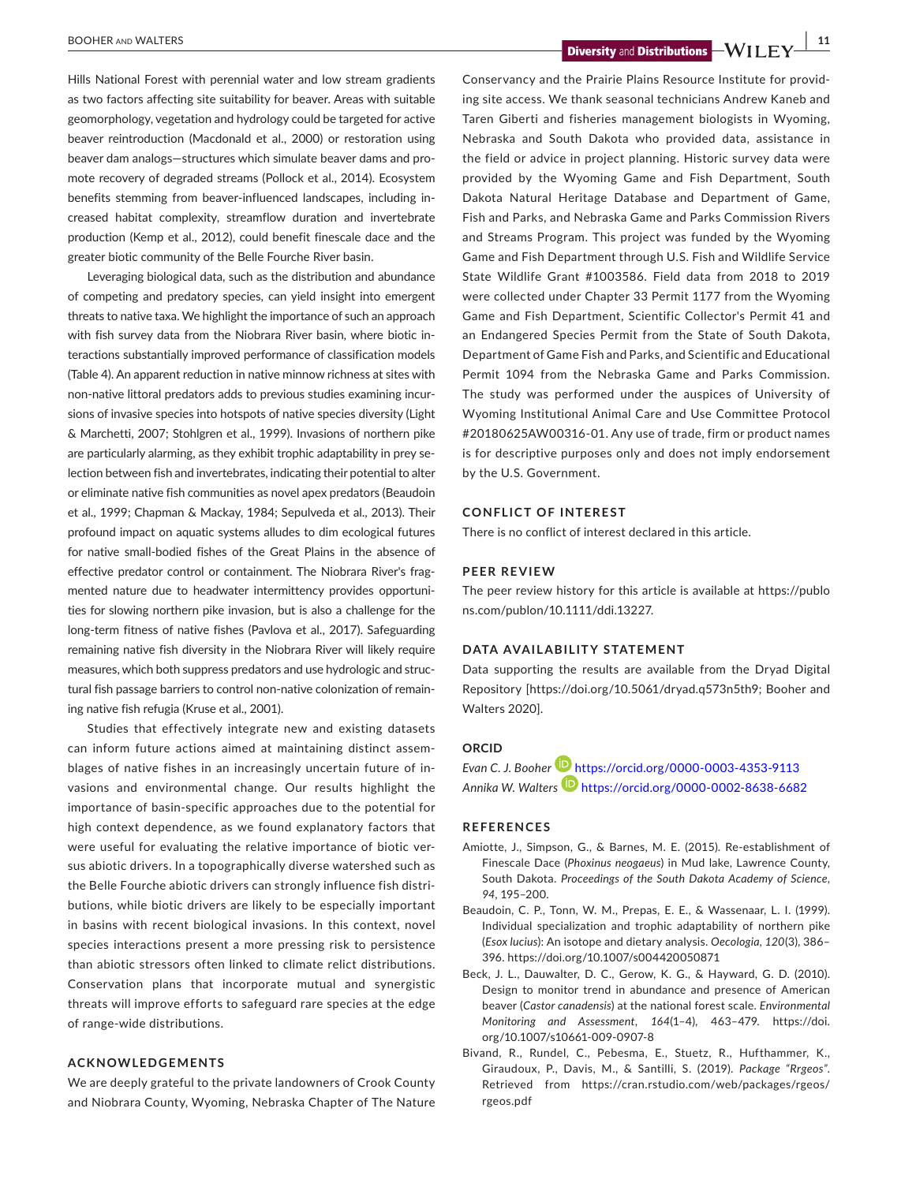**BOOHER AND WALTERS 11 11 Diversity and Distributions**  $-WII$  **FY**  $\frac{111}{2}$ 

Hills National Forest with perennial water and low stream gradients as two factors affecting site suitability for beaver. Areas with suitable geomorphology, vegetation and hydrology could be targeted for active beaver reintroduction (Macdonald et al., 2000) or restoration using beaver dam analogs—structures which simulate beaver dams and promote recovery of degraded streams (Pollock et al., 2014). Ecosystem benefits stemming from beaver-influenced landscapes, including increased habitat complexity, streamflow duration and invertebrate production (Kemp et al., 2012), could benefit finescale dace and the greater biotic community of the Belle Fourche River basin.

Leveraging biological data, such as the distribution and abundance of competing and predatory species, can yield insight into emergent threats to native taxa. We highlight the importance of such an approach with fish survey data from the Niobrara River basin, where biotic interactions substantially improved performance of classification models (Table 4). An apparent reduction in native minnow richness at sites with non-native littoral predators adds to previous studies examining incursions of invasive species into hotspots of native species diversity (Light & Marchetti, 2007; Stohlgren et al., 1999). Invasions of northern pike are particularly alarming, as they exhibit trophic adaptability in prey selection between fish and invertebrates, indicating their potential to alter or eliminate native fish communities as novel apex predators (Beaudoin et al., 1999; Chapman & Mackay, 1984; Sepulveda et al., 2013). Their profound impact on aquatic systems alludes to dim ecological futures for native small-bodied fishes of the Great Plains in the absence of effective predator control or containment. The Niobrara River's fragmented nature due to headwater intermittency provides opportunities for slowing northern pike invasion, but is also a challenge for the long-term fitness of native fishes (Pavlova et al., 2017). Safeguarding remaining native fish diversity in the Niobrara River will likely require measures, which both suppress predators and use hydrologic and structural fish passage barriers to control non-native colonization of remaining native fish refugia (Kruse et al., 2001).

Studies that effectively integrate new and existing datasets can inform future actions aimed at maintaining distinct assemblages of native fishes in an increasingly uncertain future of invasions and environmental change. Our results highlight the importance of basin-specific approaches due to the potential for high context dependence, as we found explanatory factors that were useful for evaluating the relative importance of biotic versus abiotic drivers. In a topographically diverse watershed such as the Belle Fourche abiotic drivers can strongly influence fish distributions, while biotic drivers are likely to be especially important in basins with recent biological invasions. In this context, novel species interactions present a more pressing risk to persistence than abiotic stressors often linked to climate relict distributions. Conservation plans that incorporate mutual and synergistic threats will improve efforts to safeguard rare species at the edge of range-wide distributions.

#### **ACKNOWLEDGEMENTS**

We are deeply grateful to the private landowners of Crook County and Niobrara County, Wyoming, Nebraska Chapter of The Nature

Conservancy and the Prairie Plains Resource Institute for providing site access. We thank seasonal technicians Andrew Kaneb and Taren Giberti and fisheries management biologists in Wyoming, Nebraska and South Dakota who provided data, assistance in the field or advice in project planning. Historic survey data were provided by the Wyoming Game and Fish Department, South Dakota Natural Heritage Database and Department of Game, Fish and Parks, and Nebraska Game and Parks Commission Rivers and Streams Program. This project was funded by the Wyoming Game and Fish Department through U.S. Fish and Wildlife Service State Wildlife Grant #1003586. Field data from 2018 to 2019 were collected under Chapter 33 Permit 1177 from the Wyoming Game and Fish Department, Scientific Collector's Permit 41 and an Endangered Species Permit from the State of South Dakota, Department of Game Fish and Parks, and Scientific and Educational Permit 1094 from the Nebraska Game and Parks Commission. The study was performed under the auspices of University of Wyoming Institutional Animal Care and Use Committee Protocol #20180625AW00316-01. Any use of trade, firm or product names is for descriptive purposes only and does not imply endorsement by the U.S. Government.

#### **CONFLICT OF INTEREST**

There is no conflict of interest declared in this article.

### **PEER REVIEW**

The peer review history for this article is available at [https://publo](https://publons.com/publon/10.1111/ddi.13227) [ns.com/publon/10.1111/ddi.13227](https://publons.com/publon/10.1111/ddi.13227).

# **DATA AVAILABILITY STATEMENT**

Data supporting the results are available from the Dryad Digital Repository [\[https://doi.org/10.5061/dryad.q573n5th9;](https://doi.org/10.5061/dryad.q573n5th9) Booher and Walters 2020].

# **ORCID**

*Evan C. J. Booher* <https://orcid.org/0000-0003-4353-9113> *Annika W. Walters* <https://orcid.org/0000-0002-8638-6682>

#### **REFERENCES**

- Amiotte, J., Simpson, G., & Barnes, M. E. (2015). Re-establishment of Finescale Dace (*Phoxinus neogaeus*) in Mud lake, Lawrence County, South Dakota. *Proceedings of the South Dakota Academy of Science*, *94*, 195–200.
- Beaudoin, C. P., Tonn, W. M., Prepas, E. E., & Wassenaar, L. I. (1999). Individual specialization and trophic adaptability of northern pike (*Esox lucius*): An isotope and dietary analysis. *Oecologia*, *120*(3), 386– 396. <https://doi.org/10.1007/s004420050871>
- Beck, J. L., Dauwalter, D. C., Gerow, K. G., & Hayward, G. D. (2010). Design to monitor trend in abundance and presence of American beaver (*Castor canadensis*) at the national forest scale. *Environmental Monitoring and Assessment*, *164*(1–4), 463–479. [https://doi.](https://doi.org/10.1007/s10661-009-0907-8) [org/10.1007/s10661-009-0907-8](https://doi.org/10.1007/s10661-009-0907-8)
- Bivand, R., Rundel, C., Pebesma, E., Stuetz, R., Hufthammer, K., Giraudoux, P., Davis, M., & Santilli, S. (2019). *Package "Rrgeos"*. Retrieved from [https://cran.rstudio.com/web/packages/rgeos/](https://cran.rstudio.com/web/packages/rgeos/rgeos.pdf) [rgeos.pdf](https://cran.rstudio.com/web/packages/rgeos/rgeos.pdf)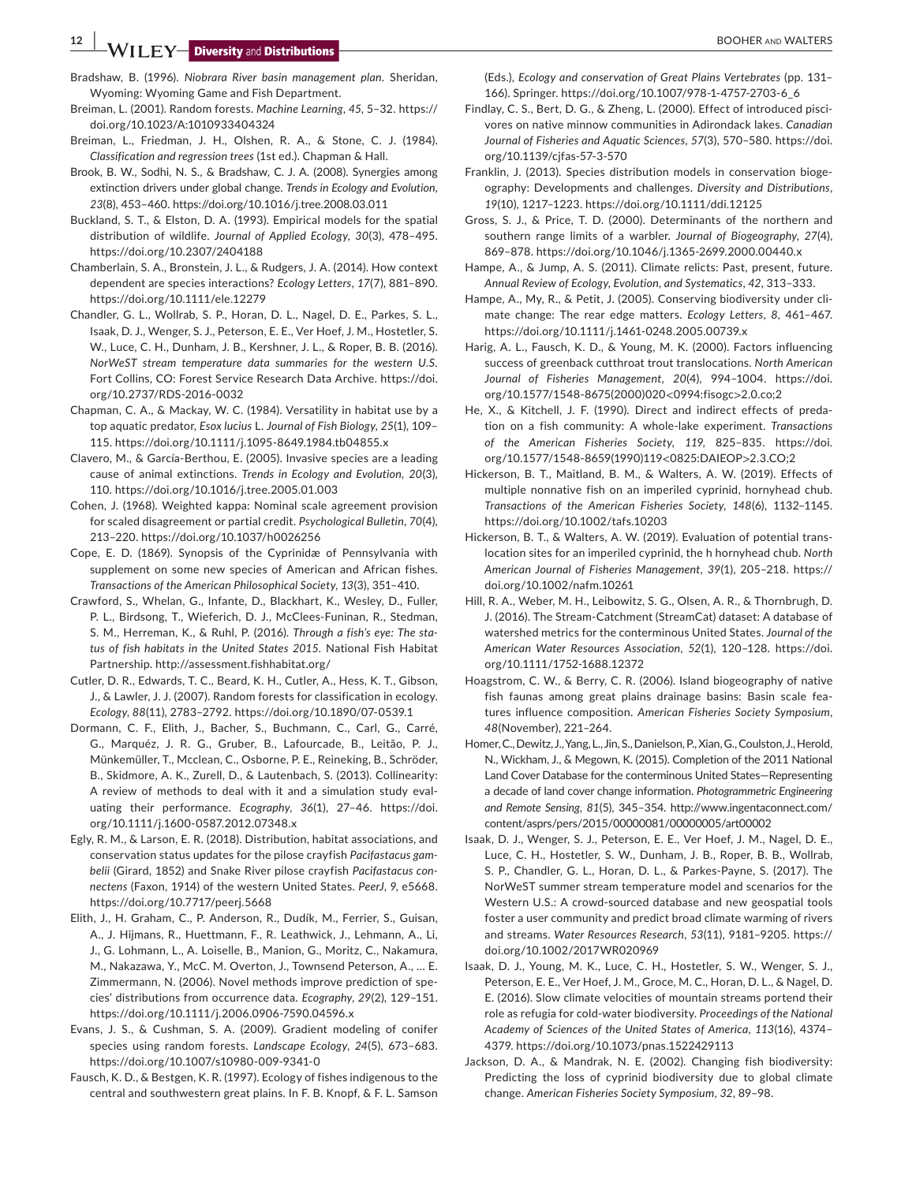**12 WILEY Diversity** and **Distributions** 

- Bradshaw, B. (1996). *Niobrara River basin management plan*. Sheridan, Wyoming: Wyoming Game and Fish Department.
- Breiman, L. (2001). Random forests. *Machine Learning*, *45*, 5–32. [https://](https://doi.org/10.1023/A:1010933404324) [doi.org/10.1023/A:1010933404324](https://doi.org/10.1023/A:1010933404324)
- Breiman, L., Friedman, J. H., Olshen, R. A., & Stone, C. J. (1984). *Classification and regression trees* (1st ed.). Chapman & Hall.
- Brook, B. W., Sodhi, N. S., & Bradshaw, C. J. A. (2008). Synergies among extinction drivers under global change. *Trends in Ecology and Evolution*, *23*(8), 453–460.<https://doi.org/10.1016/j.tree.2008.03.011>
- Buckland, S. T., & Elston, D. A. (1993). Empirical models for the spatial distribution of wildlife. *Journal of Applied Ecology*, *30*(3), 478–495. <https://doi.org/10.2307/2404188>
- Chamberlain, S. A., Bronstein, J. L., & Rudgers, J. A. (2014). How context dependent are species interactions? *Ecology Letters*, *17*(7), 881–890. <https://doi.org/10.1111/ele.12279>
- Chandler, G. L., Wollrab, S. P., Horan, D. L., Nagel, D. E., Parkes, S. L., Isaak, D. J., Wenger, S. J., Peterson, E. E., Ver Hoef, J. M., Hostetler, S. W., Luce, C. H., Dunham, J. B., Kershner, J. L., & Roper, B. B. (2016). *NorWeST stream temperature data summaries for the western U.S.* Fort Collins, CO: Forest Service Research Data Archive. [https://doi.](https://doi.org/10.2737/RDS-2016-0032) [org/10.2737/RDS-2016-0032](https://doi.org/10.2737/RDS-2016-0032)
- Chapman, C. A., & Mackay, W. C. (1984). Versatility in habitat use by a top aquatic predator, *Esox lucius* L. *Journal of Fish Biology*, *25*(1), 109– 115.<https://doi.org/10.1111/j.1095-8649.1984.tb04855.x>
- Clavero, M., & García-Berthou, E. (2005). Invasive species are a leading cause of animal extinctions. *Trends in Ecology and Evolution*, *20*(3), 110.<https://doi.org/10.1016/j.tree.2005.01.003>
- Cohen, J. (1968). Weighted kappa: Nominal scale agreement provision for scaled disagreement or partial credit. *Psychological Bulletin*, *70*(4), 213–220.<https://doi.org/10.1037/h0026256>
- Cope, E. D. (1869). Synopsis of the Cyprinidæ of Pennsylvania with supplement on some new species of American and African fishes. *Transactions of the American Philosophical Society*, *13*(3), 351–410.
- Crawford, S., Whelan, G., Infante, D., Blackhart, K., Wesley, D., Fuller, P. L., Birdsong, T., Wieferich, D. J., McClees-Funinan, R., Stedman, S. M., Herreman, K., & Ruhl, P. (2016). *Through a fish's eye: The status of fish habitats in the United States 2015*. National Fish Habitat Partnership. <http://assessment.fishhabitat.org/>
- Cutler, D. R., Edwards, T. C., Beard, K. H., Cutler, A., Hess, K. T., Gibson, J., & Lawler, J. J. (2007). Random forests for classification in ecology. *Ecology*, *88*(11), 2783–2792.<https://doi.org/10.1890/07-0539.1>
- Dormann, C. F., Elith, J., Bacher, S., Buchmann, C., Carl, G., Carré, G., Marquéz, J. R. G., Gruber, B., Lafourcade, B., Leitão, P. J., Münkemüller, T., Mcclean, C., Osborne, P. E., Reineking, B., Schröder, B., Skidmore, A. K., Zurell, D., & Lautenbach, S. (2013). Collinearity: A review of methods to deal with it and a simulation study evaluating their performance. *Ecography*, *36*(1), 27–46. [https://doi.](https://doi.org/10.1111/j.1600-0587.2012.07348.x) [org/10.1111/j.1600-0587.2012.07348.x](https://doi.org/10.1111/j.1600-0587.2012.07348.x)
- Egly, R. M., & Larson, E. R. (2018). Distribution, habitat associations, and conservation status updates for the pilose crayfish *Pacifastacus gambelii* (Girard, 1852) and Snake River pilose crayfish *Pacifastacus connectens* (Faxon, 1914) of the western United States. *PeerJ*, *9*, e5668. <https://doi.org/10.7717/peerj.5668>
- Elith, J., H. Graham, C., P. Anderson, R., Dudík, M., Ferrier, S., Guisan, A., J. Hijmans, R., Huettmann, F., R. Leathwick, J., Lehmann, A., Li, J., G. Lohmann, L., A. Loiselle, B., Manion, G., Moritz, C., Nakamura, M., Nakazawa, Y., McC. M. Overton, J., Townsend Peterson, A., … E. Zimmermann, N. (2006). Novel methods improve prediction of species' distributions from occurrence data. *Ecography*, *29*(2), 129–151. <https://doi.org/10.1111/j.2006.0906-7590.04596.x>
- Evans, J. S., & Cushman, S. A. (2009). Gradient modeling of conifer species using random forests. *Landscape Ecology*, *24*(5), 673–683. <https://doi.org/10.1007/s10980-009-9341-0>
- Fausch, K. D., & Bestgen, K. R. (1997). Ecology of fishes indigenous to the central and southwestern great plains. In F. B. Knopf, & F. L. Samson

(Eds.), *Ecology and conservation of Great Plains Vertebrates* (pp. 131– 166). Springer. [https://doi.org/10.1007/978-1-4757-2703-6\\_6](https://doi.org/10.1007/978-1-4757-2703-6_6)

- Findlay, C. S., Bert, D. G., & Zheng, L. (2000). Effect of introduced piscivores on native minnow communities in Adirondack lakes. *Canadian Journal of Fisheries and Aquatic Sciences*, *57*(3), 570–580. [https://doi.](https://doi.org/10.1139/cjfas-57-3-570) [org/10.1139/cjfas-57-3-570](https://doi.org/10.1139/cjfas-57-3-570)
- Franklin, J. (2013). Species distribution models in conservation biogeography: Developments and challenges. *Diversity and Distributions*, *19*(10), 1217–1223.<https://doi.org/10.1111/ddi.12125>
- Gross, S. J., & Price, T. D. (2000). Determinants of the northern and southern range limits of a warbler. *Journal of Biogeography*, *27*(4), 869–878. <https://doi.org/10.1046/j.1365-2699.2000.00440.x>
- Hampe, A., & Jump, A. S. (2011). Climate relicts: Past, present, future. *Annual Review of Ecology, Evolution, and Systematics*, *42*, 313–333.
- Hampe, A., My, R., & Petit, J. (2005). Conserving biodiversity under climate change: The rear edge matters. *Ecology Letters*, *8*, 461–467. <https://doi.org/10.1111/j.1461-0248.2005.00739.x>
- Harig, A. L., Fausch, K. D., & Young, M. K. (2000). Factors influencing success of greenback cutthroat trout translocations. *North American Journal of Fisheries Management*, *20*(4), 994–1004. [https://doi.](https://doi.org/10.1577/1548-8675(2000)020%3C0994:fisogc%3E2.0.co;2) [org/10.1577/1548-8675\(2000\)020](https://doi.org/10.1577/1548-8675(2000)020%3C0994:fisogc%3E2.0.co;2)<0994:fisogc>2.0.co;2
- He, X., & Kitchell, J. F. (1990). Direct and indirect effects of predation on a fish community: A whole-lake experiment. *Transactions of the American Fisheries Society*, *119*, 825–835. [https://doi.](https://doi.org/10.1577/1548-8659(1990)119%3C0825:DAIEOP%3E2.3.CO;2) [org/10.1577/1548-8659\(1990\)119](https://doi.org/10.1577/1548-8659(1990)119%3C0825:DAIEOP%3E2.3.CO;2)<0825:DAIEOP>2.3.CO;2
- Hickerson, B. T., Maitland, B. M., & Walters, A. W. (2019). Effects of multiple nonnative fish on an imperiled cyprinid, hornyhead chub. *Transactions of the American Fisheries Society*, *148*(6), 1132–1145. <https://doi.org/10.1002/tafs.10203>
- Hickerson, B. T., & Walters, A. W. (2019). Evaluation of potential translocation sites for an imperiled cyprinid, the h hornyhead chub. *North American Journal of Fisheries Management*, *39*(1), 205–218. [https://](https://doi.org/10.1002/nafm.10261) [doi.org/10.1002/nafm.10261](https://doi.org/10.1002/nafm.10261)
- Hill, R. A., Weber, M. H., Leibowitz, S. G., Olsen, A. R., & Thornbrugh, D. J. (2016). The Stream-Catchment (StreamCat) dataset: A database of watershed metrics for the conterminous United States. *Journal of the American Water Resources Association*, *52*(1), 120–128. [https://doi.](https://doi.org/10.1111/1752-1688.12372) [org/10.1111/1752-1688.12372](https://doi.org/10.1111/1752-1688.12372)
- Hoagstrom, C. W., & Berry, C. R. (2006). Island biogeography of native fish faunas among great plains drainage basins: Basin scale features influence composition. *American Fisheries Society Symposium*, *48*(November), 221–264.
- Homer, C., Dewitz, J., Yang, L., Jin, S., Danielson, P., Xian, G., Coulston, J., Herold, N., Wickham, J., & Megown, K. (2015). Completion of the 2011 National Land Cover Database for the conterminous United States—Representing a decade of land cover change information. *Photogrammetric Engineering and Remote Sensing*, *81*(5), 345–354. [http://www.ingentaconnect.com/](http://www.ingentaconnect.com/content/asprs/pers/2015/00000081/00000005/art00002) [content/asprs/pers/2015/00000081/00000005/art00002](http://www.ingentaconnect.com/content/asprs/pers/2015/00000081/00000005/art00002)
- Isaak, D. J., Wenger, S. J., Peterson, E. E., Ver Hoef, J. M., Nagel, D. E., Luce, C. H., Hostetler, S. W., Dunham, J. B., Roper, B. B., Wollrab, S. P., Chandler, G. L., Horan, D. L., & Parkes-Payne, S. (2017). The NorWeST summer stream temperature model and scenarios for the Western U.S.: A crowd-sourced database and new geospatial tools foster a user community and predict broad climate warming of rivers and streams. *Water Resources Research*, *53*(11), 9181–9205. [https://](https://doi.org/10.1002/2017WR020969) [doi.org/10.1002/2017WR020969](https://doi.org/10.1002/2017WR020969)
- Isaak, D. J., Young, M. K., Luce, C. H., Hostetler, S. W., Wenger, S. J., Peterson, E. E., Ver Hoef, J. M., Groce, M. C., Horan, D. L., & Nagel, D. E. (2016). Slow climate velocities of mountain streams portend their role as refugia for cold-water biodiversity. *Proceedings of the National Academy of Sciences of the United States of America*, *113*(16), 4374– 4379.<https://doi.org/10.1073/pnas.1522429113>
- Jackson, D. A., & Mandrak, N. E. (2002). Changing fish biodiversity: Predicting the loss of cyprinid biodiversity due to global climate change. *American Fisheries Society Symposium*, *32*, 89–98.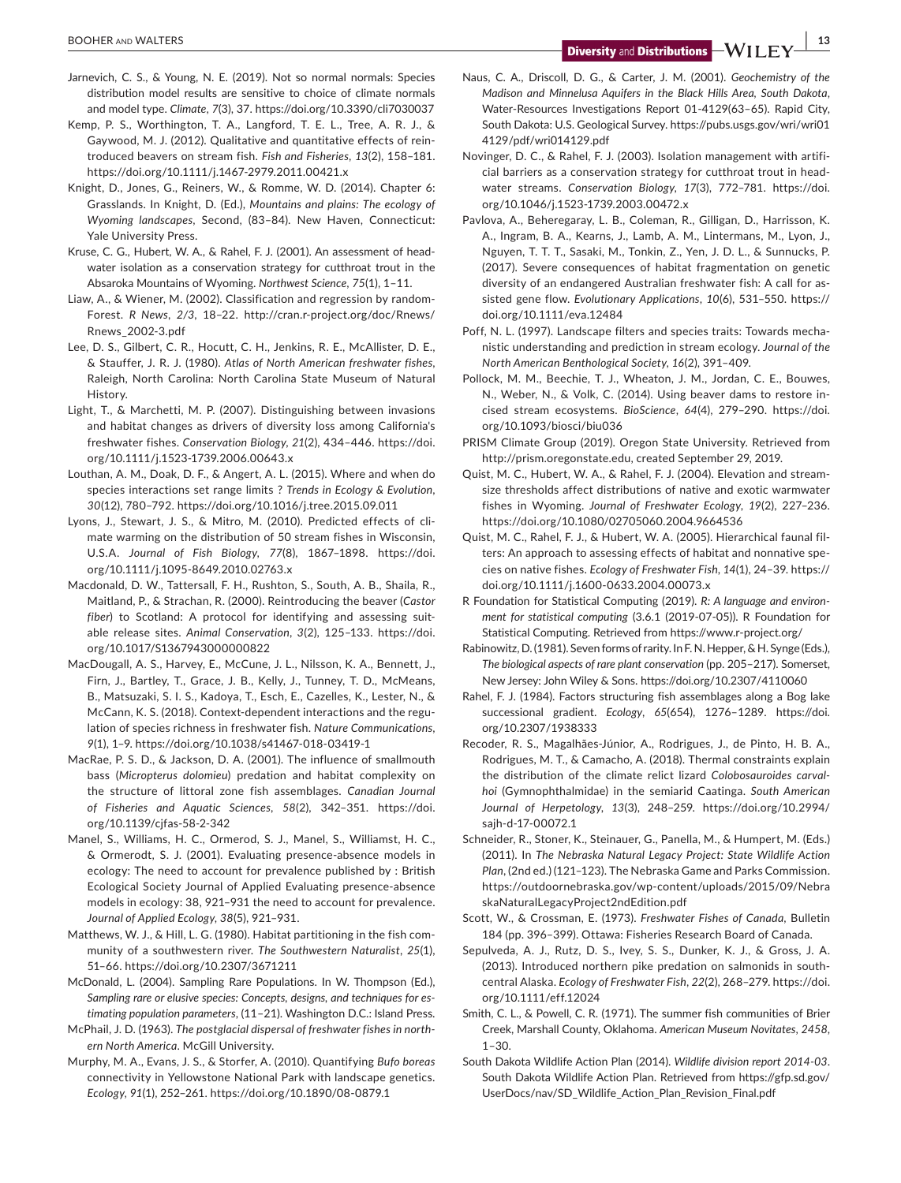- Jarnevich, C. S., & Young, N. E. (2019). Not so normal normals: Species distribution model results are sensitive to choice of climate normals and model type. *Climate*, *7*(3), 37. <https://doi.org/10.3390/cli7030037>
- Kemp, P. S., Worthington, T. A., Langford, T. E. L., Tree, A. R. J., & Gaywood, M. J. (2012). Qualitative and quantitative effects of reintroduced beavers on stream fish. *Fish and Fisheries*, *13*(2), 158–181. <https://doi.org/10.1111/j.1467-2979.2011.00421.x>
- Knight, D., Jones, G., Reiners, W., & Romme, W. D. (2014). Chapter 6: Grasslands. In Knight, D. (Ed.), *Mountains and plains: The ecology of Wyoming landscapes*, Second, (83–84). New Haven, Connecticut: Yale University Press.
- Kruse, C. G., Hubert, W. A., & Rahel, F. J. (2001). An assessment of headwater isolation as a conservation strategy for cutthroat trout in the Absaroka Mountains of Wyoming. *Northwest Science*, *75*(1), 1–11.
- Liaw, A., & Wiener, M. (2002). Classification and regression by random-Forest. *R News*, *2/3*, 18–22. [http://cran.r-project.org/doc/Rnews/](http://cran.r-project.org/doc/Rnews/Rnews_2002-3.pdf) [Rnews\\_2002-3.pdf](http://cran.r-project.org/doc/Rnews/Rnews_2002-3.pdf)
- Lee, D. S., Gilbert, C. R., Hocutt, C. H., Jenkins, R. E., McAllister, D. E., & Stauffer, J. R. J. (1980). *Atlas of North American freshwater fishes*, Raleigh, North Carolina: North Carolina State Museum of Natural History.
- Light, T., & Marchetti, M. P. (2007). Distinguishing between invasions and habitat changes as drivers of diversity loss among California's freshwater fishes. *Conservation Biology*, *21*(2), 434–446. [https://doi.](https://doi.org/10.1111/j.1523-1739.2006.00643.x) [org/10.1111/j.1523-1739.2006.00643.x](https://doi.org/10.1111/j.1523-1739.2006.00643.x)
- Louthan, A. M., Doak, D. F., & Angert, A. L. (2015). Where and when do species interactions set range limits ? *Trends in Ecology & Evolution*, *30*(12), 780–792.<https://doi.org/10.1016/j.tree.2015.09.011>
- Lyons, J., Stewart, J. S., & Mitro, M. (2010). Predicted effects of climate warming on the distribution of 50 stream fishes in Wisconsin, U.S.A. *Journal of Fish Biology*, *77*(8), 1867–1898. [https://doi.](https://doi.org/10.1111/j.1095-8649.2010.02763.x) [org/10.1111/j.1095-8649.2010.02763.x](https://doi.org/10.1111/j.1095-8649.2010.02763.x)
- Macdonald, D. W., Tattersall, F. H., Rushton, S., South, A. B., Shaila, R., Maitland, P., & Strachan, R. (2000). Reintroducing the beaver (*Castor fiber*) to Scotland: A protocol for identifying and assessing suitable release sites. *Animal Conservation*, *3*(2), 125–133. [https://doi.](https://doi.org/10.1017/S1367943000000822) [org/10.1017/S1367943000000822](https://doi.org/10.1017/S1367943000000822)
- MacDougall, A. S., Harvey, E., McCune, J. L., Nilsson, K. A., Bennett, J., Firn, J., Bartley, T., Grace, J. B., Kelly, J., Tunney, T. D., McMeans, B., Matsuzaki, S. I. S., Kadoya, T., Esch, E., Cazelles, K., Lester, N., & McCann, K. S. (2018). Context-dependent interactions and the regulation of species richness in freshwater fish. *Nature Communications*, *9*(1), 1–9. <https://doi.org/10.1038/s41467-018-03419-1>
- MacRae, P. S. D., & Jackson, D. A. (2001). The influence of smallmouth bass (*Micropterus dolomieu*) predation and habitat complexity on the structure of littoral zone fish assemblages. *Canadian Journal of Fisheries and Aquatic Sciences*, *58*(2), 342–351. [https://doi.](https://doi.org/10.1139/cjfas-58-2-342) [org/10.1139/cjfas-58-2-342](https://doi.org/10.1139/cjfas-58-2-342)
- Manel, S., Williams, H. C., Ormerod, S. J., Manel, S., Williamst, H. C., & Ormerodt, S. J. (2001). Evaluating presence-absence models in ecology: The need to account for prevalence published by : British Ecological Society Journal of Applied Evaluating presence-absence models in ecology: 38, 921–931 the need to account for prevalence. *Journal of Applied Ecology*, *38*(5), 921–931.
- Matthews, W. J., & Hill, L. G. (1980). Habitat partitioning in the fish community of a southwestern river. *The Southwestern Naturalist*, *25*(1), 51–66. <https://doi.org/10.2307/3671211>
- McDonald, L. (2004). Sampling Rare Populations. In W. Thompson (Ed.), *Sampling rare or elusive species: Concepts, designs, and techniques for estimating population parameters*, (11–21). Washington D.C.: Island Press.
- McPhail, J. D. (1963). *The postglacial dispersal of freshwater fishes in northern North America*. McGill University.
- Murphy, M. A., Evans, J. S., & Storfer, A. (2010). Quantifying *Bufo boreas* connectivity in Yellowstone National Park with landscape genetics. *Ecology*, *91*(1), 252–261.<https://doi.org/10.1890/08-0879.1>
- Naus, C. A., Driscoll, D. G., & Carter, J. M. (2001). *Geochemistry of the Madison and Minnelusa Aquifers in the Black Hills Area, South Dakota*, Water-Resources Investigations Report 01-4129(63–65). Rapid City, South Dakota: U.S. Geological Survey. [https://pubs.usgs.gov/wri/wri01](http://pubs.usgs.gov/wri/wri014129/pdf/wri014129.pdf) [4129/pdf/wri014129.pdf](http://pubs.usgs.gov/wri/wri014129/pdf/wri014129.pdf)
- Novinger, D. C., & Rahel, F. J. (2003). Isolation management with artificial barriers as a conservation strategy for cutthroat trout in headwater streams. *Conservation Biology*, *17*(3), 772–781. [https://doi.](https://doi.org/10.1046/j.1523-1739.2003.00472.x) [org/10.1046/j.1523-1739.2003.00472.x](https://doi.org/10.1046/j.1523-1739.2003.00472.x)
- Pavlova, A., Beheregaray, L. B., Coleman, R., Gilligan, D., Harrisson, K. A., Ingram, B. A., Kearns, J., Lamb, A. M., Lintermans, M., Lyon, J., Nguyen, T. T. T., Sasaki, M., Tonkin, Z., Yen, J. D. L., & Sunnucks, P. (2017). Severe consequences of habitat fragmentation on genetic diversity of an endangered Australian freshwater fish: A call for assisted gene flow. *Evolutionary Applications*, *10*(6), 531–550. [https://](https://doi.org/10.1111/eva.12484) [doi.org/10.1111/eva.12484](https://doi.org/10.1111/eva.12484)
- Poff, N. L. (1997). Landscape filters and species traits: Towards mechanistic understanding and prediction in stream ecology. *Journal of the North American Benthological Society*, *16*(2), 391–409.
- Pollock, M. M., Beechie, T. J., Wheaton, J. M., Jordan, C. E., Bouwes, N., Weber, N., & Volk, C. (2014). Using beaver dams to restore incised stream ecosystems. *BioScience*, *64*(4), 279–290. [https://doi.](https://doi.org/10.1093/biosci/biu036) [org/10.1093/biosci/biu036](https://doi.org/10.1093/biosci/biu036)
- PRISM Climate Group (2019). Oregon State University. Retrieved from <http://prism.oregonstate.edu>, created September 29, 2019.
- Quist, M. C., Hubert, W. A., & Rahel, F. J. (2004). Elevation and streamsize thresholds affect distributions of native and exotic warmwater fishes in Wyoming. *Journal of Freshwater Ecology*, *19*(2), 227–236. <https://doi.org/10.1080/02705060.2004.9664536>
- Quist, M. C., Rahel, F. J., & Hubert, W. A. (2005). Hierarchical faunal filters: An approach to assessing effects of habitat and nonnative species on native fishes. *Ecology of Freshwater Fish*, *14*(1), 24–39. [https://](https://doi.org/10.1111/j.1600-0633.2004.00073.x) [doi.org/10.1111/j.1600-0633.2004.00073.x](https://doi.org/10.1111/j.1600-0633.2004.00073.x)
- R Foundation for Statistical Computing (2019). *R: A language and environment for statistical computing* (3.6.1 (2019-07-05)). R Foundation for Statistical Computing. Retrieved from<https://www.r-project.org/>
- Rabinowitz, D. (1981). Seven forms of rarity. In F. N. Hepper, & H. Synge (Eds.), *The biological aspects of rare plant conservation* (pp. 205–217). Somerset, New Jersey: John Wiley & Sons. <https://doi.org/10.2307/4110060>
- Rahel, F. J. (1984). Factors structuring fish assemblages along a Bog lake successional gradient. *Ecology*, *65*(654), 1276–1289. [https://doi.](https://doi.org/10.2307/1938333) [org/10.2307/1938333](https://doi.org/10.2307/1938333)
- Recoder, R. S., Magalhães-Júnior, A., Rodrigues, J., de Pinto, H. B. A., Rodrigues, M. T., & Camacho, A. (2018). Thermal constraints explain the distribution of the climate relict lizard *Colobosauroides carvalhoi* (Gymnophthalmidae) in the semiarid Caatinga. *South American Journal of Herpetology*, *13*(3), 248–259. [https://doi.org/10.2994/](https://doi.org/10.2994/sajh-d-17-00072.1) [sajh-d-17-00072.1](https://doi.org/10.2994/sajh-d-17-00072.1)
- Schneider, R., Stoner, K., Steinauer, G., Panella, M., & Humpert, M. (Eds.) (2011). In *The Nebraska Natural Legacy Project: State Wildlife Action Plan*, (2nd ed.) (121–123). The Nebraska Game and Parks Commission. [https://outdoornebraska.gov/wp-content/uploads/2015/09/Nebra](https://outdoornebraska.gov/wp-content/uploads/2015/09/NebraskaNaturalLegacyProject2ndEdition.pdf) [skaNaturalLegacyProject2ndEdition.pdf](https://outdoornebraska.gov/wp-content/uploads/2015/09/NebraskaNaturalLegacyProject2ndEdition.pdf)
- Scott, W., & Crossman, E. (1973). *Freshwater Fishes of Canada*, Bulletin 184 (pp. 396–399). Ottawa: Fisheries Research Board of Canada.
- Sepulveda, A. J., Rutz, D. S., Ivey, S. S., Dunker, K. J., & Gross, J. A. (2013). Introduced northern pike predation on salmonids in southcentral Alaska. *Ecology of Freshwater Fish*, *22*(2), 268–279. [https://doi.](https://doi.org/10.1111/eff.12024) [org/10.1111/eff.12024](https://doi.org/10.1111/eff.12024)
- Smith, C. L., & Powell, C. R. (1971). The summer fish communities of Brier Creek, Marshall County, Oklahoma. *American Museum Novitates*, *2458*,  $1 - 30$
- South Dakota Wildlife Action Plan (2014). *Wildlife division report 2014-03*. South Dakota Wildlife Action Plan. Retrieved from [https://gfp.sd.gov/](https://gfp.sd.gov/UserDocs/nav/SD_Wildlife_Action_Plan_Revision_Final.pdf) [UserDocs/nav/SD\\_Wildlife\\_Action\\_Plan\\_Revision\\_Final.pdf](https://gfp.sd.gov/UserDocs/nav/SD_Wildlife_Action_Plan_Revision_Final.pdf)